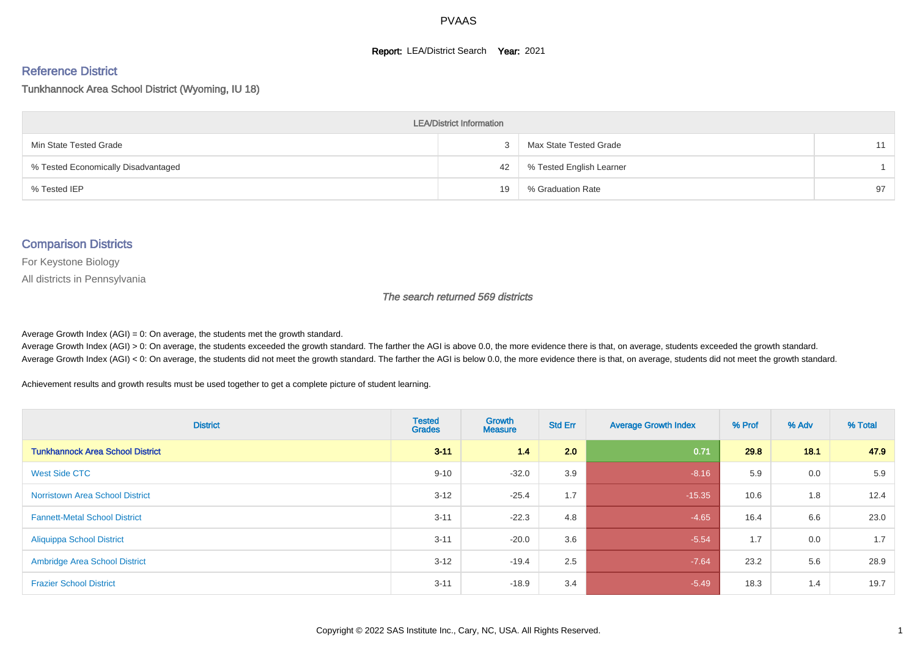#### **Report: LEA/District Search Year: 2021**

#### Reference District

#### Tunkhannock Area School District (Wyoming, IU 18)

| <b>LEA/District Information</b>     |    |                          |    |  |  |  |  |  |  |  |
|-------------------------------------|----|--------------------------|----|--|--|--|--|--|--|--|
| Min State Tested Grade              |    | Max State Tested Grade   |    |  |  |  |  |  |  |  |
| % Tested Economically Disadvantaged | 42 | % Tested English Learner |    |  |  |  |  |  |  |  |
| % Tested IEP                        | 19 | % Graduation Rate        | 97 |  |  |  |  |  |  |  |

#### Comparison Districts

For Keystone Biology

All districts in Pennsylvania

The search returned 569 districts

Average Growth Index  $(AGI) = 0$ : On average, the students met the growth standard.

Average Growth Index (AGI) > 0: On average, the students exceeded the growth standard. The farther the AGI is above 0.0, the more evidence there is that, on average, students exceeded the growth standard. Average Growth Index (AGI) < 0: On average, the students did not meet the growth standard. The farther the AGI is below 0.0, the more evidence there is that, on average, students did not meet the growth standard.

Achievement results and growth results must be used together to get a complete picture of student learning.

| <b>District</b>                         | <b>Tested</b><br><b>Grades</b> | Growth<br><b>Measure</b> | <b>Std Err</b> | <b>Average Growth Index</b> | % Prof | % Adv | % Total |
|-----------------------------------------|--------------------------------|--------------------------|----------------|-----------------------------|--------|-------|---------|
| <b>Tunkhannock Area School District</b> | $3 - 11$                       | 14                       | 2.0            | 0.71                        | 29.8   | 18.1  | 47.9    |
| West Side CTC                           | $9 - 10$                       | $-32.0$                  | 3.9            | $-8.16$                     | 5.9    | 0.0   | 5.9     |
| <b>Norristown Area School District</b>  | $3 - 12$                       | $-25.4$                  | 1.7            | $-15.35$                    | 10.6   | 1.8   | 12.4    |
| <b>Fannett-Metal School District</b>    | $3 - 11$                       | $-22.3$                  | 4.8            | $-4.65$                     | 16.4   | 6.6   | 23.0    |
| <b>Aliquippa School District</b>        | $3 - 11$                       | $-20.0$                  | 3.6            | $-5.54$                     | 1.7    | 0.0   | 1.7     |
| <b>Ambridge Area School District</b>    | $3 - 12$                       | $-19.4$                  | 2.5            | $-7.64$                     | 23.2   | 5.6   | 28.9    |
| <b>Frazier School District</b>          | $3 - 11$                       | $-18.9$                  | 3.4            | $-5.49$                     | 18.3   | 1.4   | 19.7    |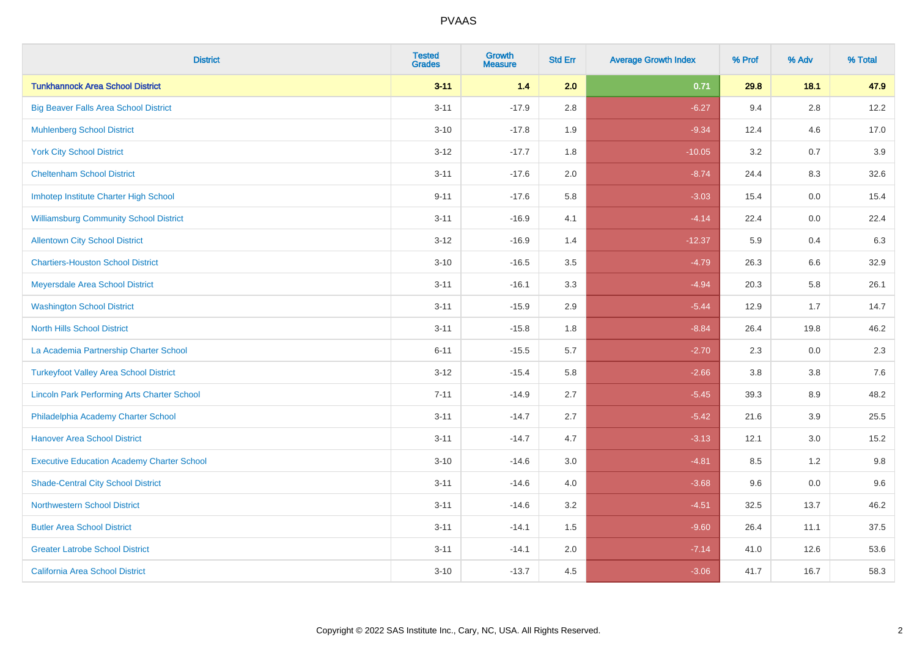| <b>District</b>                                    | <b>Tested</b><br><b>Grades</b> | <b>Growth</b><br><b>Measure</b> | <b>Std Err</b> | <b>Average Growth Index</b> | % Prof | % Adv   | % Total |
|----------------------------------------------------|--------------------------------|---------------------------------|----------------|-----------------------------|--------|---------|---------|
| <b>Tunkhannock Area School District</b>            | $3 - 11$                       | 1.4                             | 2.0            | 0.71                        | 29.8   | 18.1    | 47.9    |
| <b>Big Beaver Falls Area School District</b>       | $3 - 11$                       | $-17.9$                         | $2.8\,$        | $-6.27$                     | 9.4    | $2.8\,$ | 12.2    |
| <b>Muhlenberg School District</b>                  | $3 - 10$                       | $-17.8$                         | 1.9            | $-9.34$                     | 12.4   | 4.6     | 17.0    |
| <b>York City School District</b>                   | $3 - 12$                       | $-17.7$                         | 1.8            | $-10.05$                    | 3.2    | 0.7     | 3.9     |
| <b>Cheltenham School District</b>                  | $3 - 11$                       | $-17.6$                         | 2.0            | $-8.74$                     | 24.4   | 8.3     | 32.6    |
| Imhotep Institute Charter High School              | $9 - 11$                       | $-17.6$                         | 5.8            | $-3.03$                     | 15.4   | 0.0     | 15.4    |
| <b>Williamsburg Community School District</b>      | $3 - 11$                       | $-16.9$                         | 4.1            | $-4.14$                     | 22.4   | 0.0     | 22.4    |
| <b>Allentown City School District</b>              | $3 - 12$                       | $-16.9$                         | 1.4            | $-12.37$                    | 5.9    | 0.4     | 6.3     |
| <b>Chartiers-Houston School District</b>           | $3 - 10$                       | $-16.5$                         | 3.5            | $-4.79$                     | 26.3   | 6.6     | 32.9    |
| Meyersdale Area School District                    | $3 - 11$                       | $-16.1$                         | 3.3            | $-4.94$                     | 20.3   | 5.8     | 26.1    |
| <b>Washington School District</b>                  | $3 - 11$                       | $-15.9$                         | 2.9            | $-5.44$                     | 12.9   | 1.7     | 14.7    |
| <b>North Hills School District</b>                 | $3 - 11$                       | $-15.8$                         | 1.8            | $-8.84$                     | 26.4   | 19.8    | 46.2    |
| La Academia Partnership Charter School             | $6 - 11$                       | $-15.5$                         | 5.7            | $-2.70$                     | 2.3    | $0.0\,$ | 2.3     |
| <b>Turkeyfoot Valley Area School District</b>      | $3 - 12$                       | $-15.4$                         | 5.8            | $-2.66$                     | 3.8    | 3.8     | 7.6     |
| <b>Lincoln Park Performing Arts Charter School</b> | $7 - 11$                       | $-14.9$                         | 2.7            | $-5.45$                     | 39.3   | 8.9     | 48.2    |
| Philadelphia Academy Charter School                | $3 - 11$                       | $-14.7$                         | 2.7            | $-5.42$                     | 21.6   | 3.9     | 25.5    |
| <b>Hanover Area School District</b>                | $3 - 11$                       | $-14.7$                         | 4.7            | $-3.13$                     | 12.1   | 3.0     | 15.2    |
| <b>Executive Education Academy Charter School</b>  | $3 - 10$                       | $-14.6$                         | 3.0            | $-4.81$                     | 8.5    | 1.2     | 9.8     |
| <b>Shade-Central City School District</b>          | $3 - 11$                       | $-14.6$                         | 4.0            | $-3.68$                     | 9.6    | 0.0     | 9.6     |
| <b>Northwestern School District</b>                | $3 - 11$                       | $-14.6$                         | 3.2            | $-4.51$                     | 32.5   | 13.7    | 46.2    |
| <b>Butler Area School District</b>                 | $3 - 11$                       | $-14.1$                         | 1.5            | $-9.60$                     | 26.4   | 11.1    | 37.5    |
| <b>Greater Latrobe School District</b>             | $3 - 11$                       | $-14.1$                         | 2.0            | $-7.14$                     | 41.0   | 12.6    | 53.6    |
| <b>California Area School District</b>             | $3 - 10$                       | $-13.7$                         | 4.5            | $-3.06$                     | 41.7   | 16.7    | 58.3    |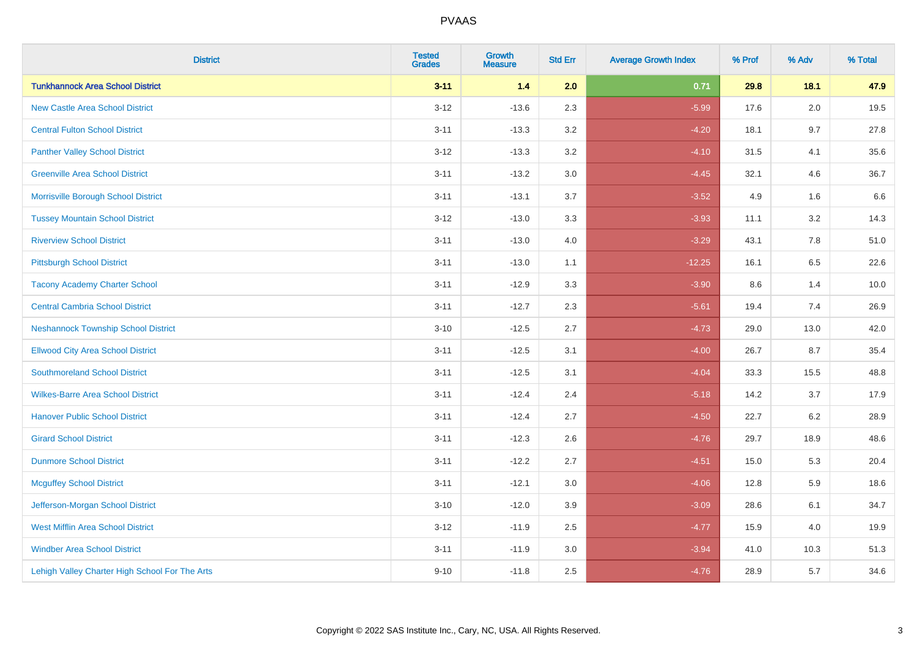| <b>District</b>                                | <b>Tested</b><br><b>Grades</b> | <b>Growth</b><br><b>Measure</b> | <b>Std Err</b> | <b>Average Growth Index</b> | % Prof | % Adv   | % Total |
|------------------------------------------------|--------------------------------|---------------------------------|----------------|-----------------------------|--------|---------|---------|
| <b>Tunkhannock Area School District</b>        | $3 - 11$                       | $1.4$                           | 2.0            | 0.71                        | 29.8   | 18.1    | 47.9    |
| <b>New Castle Area School District</b>         | $3 - 12$                       | $-13.6$                         | 2.3            | $-5.99$                     | 17.6   | $2.0\,$ | 19.5    |
| <b>Central Fulton School District</b>          | $3 - 11$                       | $-13.3$                         | 3.2            | $-4.20$                     | 18.1   | 9.7     | 27.8    |
| <b>Panther Valley School District</b>          | $3-12$                         | $-13.3$                         | 3.2            | $-4.10$                     | 31.5   | 4.1     | 35.6    |
| <b>Greenville Area School District</b>         | $3 - 11$                       | $-13.2$                         | 3.0            | $-4.45$                     | 32.1   | 4.6     | 36.7    |
| Morrisville Borough School District            | $3 - 11$                       | $-13.1$                         | 3.7            | $-3.52$                     | 4.9    | 1.6     | 6.6     |
| <b>Tussey Mountain School District</b>         | $3 - 12$                       | $-13.0$                         | 3.3            | $-3.93$                     | 11.1   | 3.2     | 14.3    |
| <b>Riverview School District</b>               | $3 - 11$                       | $-13.0$                         | 4.0            | $-3.29$                     | 43.1   | 7.8     | 51.0    |
| <b>Pittsburgh School District</b>              | $3 - 11$                       | $-13.0$                         | 1.1            | $-12.25$                    | 16.1   | 6.5     | 22.6    |
| <b>Tacony Academy Charter School</b>           | $3 - 11$                       | $-12.9$                         | 3.3            | $-3.90$                     | 8.6    | 1.4     | 10.0    |
| <b>Central Cambria School District</b>         | $3 - 11$                       | $-12.7$                         | 2.3            | $-5.61$                     | 19.4   | 7.4     | 26.9    |
| <b>Neshannock Township School District</b>     | $3 - 10$                       | $-12.5$                         | 2.7            | $-4.73$                     | 29.0   | 13.0    | 42.0    |
| <b>Ellwood City Area School District</b>       | $3 - 11$                       | $-12.5$                         | 3.1            | $-4.00$                     | 26.7   | 8.7     | 35.4    |
| <b>Southmoreland School District</b>           | $3 - 11$                       | $-12.5$                         | 3.1            | $-4.04$                     | 33.3   | 15.5    | 48.8    |
| <b>Wilkes-Barre Area School District</b>       | $3 - 11$                       | $-12.4$                         | 2.4            | $-5.18$                     | 14.2   | 3.7     | 17.9    |
| <b>Hanover Public School District</b>          | $3 - 11$                       | $-12.4$                         | 2.7            | $-4.50$                     | 22.7   | $6.2\,$ | 28.9    |
| <b>Girard School District</b>                  | $3 - 11$                       | $-12.3$                         | 2.6            | $-4.76$                     | 29.7   | 18.9    | 48.6    |
| <b>Dunmore School District</b>                 | $3 - 11$                       | $-12.2$                         | 2.7            | $-4.51$                     | 15.0   | 5.3     | 20.4    |
| <b>Mcguffey School District</b>                | $3 - 11$                       | $-12.1$                         | 3.0            | $-4.06$                     | 12.8   | 5.9     | 18.6    |
| Jefferson-Morgan School District               | $3 - 10$                       | $-12.0$                         | 3.9            | $-3.09$                     | 28.6   | 6.1     | 34.7    |
| <b>West Mifflin Area School District</b>       | $3-12$                         | $-11.9$                         | 2.5            | $-4.77$                     | 15.9   | 4.0     | 19.9    |
| <b>Windber Area School District</b>            | $3 - 11$                       | $-11.9$                         | 3.0            | $-3.94$                     | 41.0   | 10.3    | 51.3    |
| Lehigh Valley Charter High School For The Arts | $9 - 10$                       | $-11.8$                         | 2.5            | $-4.76$                     | 28.9   | 5.7     | 34.6    |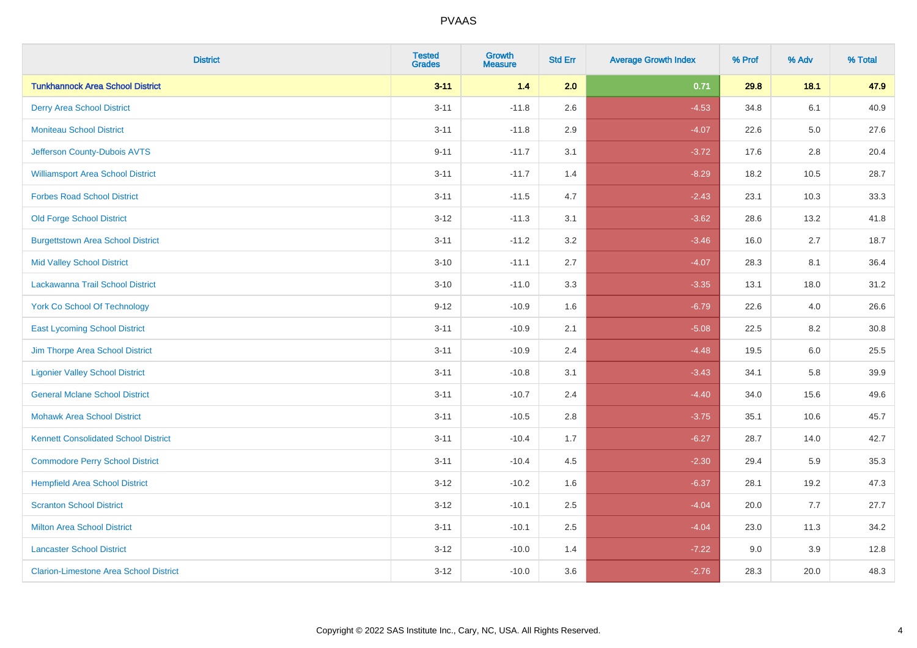| <b>District</b>                               | <b>Tested</b><br><b>Grades</b> | <b>Growth</b><br><b>Measure</b> | <b>Std Err</b> | <b>Average Growth Index</b> | % Prof | % Adv   | % Total |
|-----------------------------------------------|--------------------------------|---------------------------------|----------------|-----------------------------|--------|---------|---------|
| <b>Tunkhannock Area School District</b>       | $3 - 11$                       | 1.4                             | 2.0            | 0.71                        | 29.8   | 18.1    | 47.9    |
| <b>Derry Area School District</b>             | $3 - 11$                       | $-11.8$                         | 2.6            | $-4.53$                     | 34.8   | 6.1     | 40.9    |
| <b>Moniteau School District</b>               | $3 - 11$                       | $-11.8$                         | 2.9            | $-4.07$                     | 22.6   | $5.0\,$ | 27.6    |
| Jefferson County-Dubois AVTS                  | $9 - 11$                       | $-11.7$                         | 3.1            | $-3.72$                     | 17.6   | 2.8     | 20.4    |
| <b>Williamsport Area School District</b>      | $3 - 11$                       | $-11.7$                         | 1.4            | $-8.29$                     | 18.2   | 10.5    | 28.7    |
| <b>Forbes Road School District</b>            | $3 - 11$                       | $-11.5$                         | 4.7            | $-2.43$                     | 23.1   | 10.3    | 33.3    |
| <b>Old Forge School District</b>              | $3 - 12$                       | $-11.3$                         | 3.1            | $-3.62$                     | 28.6   | 13.2    | 41.8    |
| <b>Burgettstown Area School District</b>      | $3 - 11$                       | $-11.2$                         | 3.2            | $-3.46$                     | 16.0   | 2.7     | 18.7    |
| <b>Mid Valley School District</b>             | $3 - 10$                       | $-11.1$                         | 2.7            | $-4.07$                     | 28.3   | 8.1     | 36.4    |
| Lackawanna Trail School District              | $3 - 10$                       | $-11.0$                         | 3.3            | $-3.35$                     | 13.1   | 18.0    | 31.2    |
| <b>York Co School Of Technology</b>           | $9 - 12$                       | $-10.9$                         | 1.6            | $-6.79$                     | 22.6   | 4.0     | 26.6    |
| <b>East Lycoming School District</b>          | $3 - 11$                       | $-10.9$                         | 2.1            | $-5.08$                     | 22.5   | 8.2     | 30.8    |
| Jim Thorpe Area School District               | $3 - 11$                       | $-10.9$                         | 2.4            | $-4.48$                     | 19.5   | 6.0     | 25.5    |
| <b>Ligonier Valley School District</b>        | $3 - 11$                       | $-10.8$                         | 3.1            | $-3.43$                     | 34.1   | 5.8     | 39.9    |
| <b>General Mclane School District</b>         | $3 - 11$                       | $-10.7$                         | 2.4            | $-4.40$                     | 34.0   | 15.6    | 49.6    |
| <b>Mohawk Area School District</b>            | $3 - 11$                       | $-10.5$                         | 2.8            | $-3.75$                     | 35.1   | 10.6    | 45.7    |
| <b>Kennett Consolidated School District</b>   | $3 - 11$                       | $-10.4$                         | 1.7            | $-6.27$                     | 28.7   | 14.0    | 42.7    |
| <b>Commodore Perry School District</b>        | $3 - 11$                       | $-10.4$                         | 4.5            | $-2.30$                     | 29.4   | 5.9     | 35.3    |
| <b>Hempfield Area School District</b>         | $3 - 12$                       | $-10.2$                         | 1.6            | $-6.37$                     | 28.1   | 19.2    | 47.3    |
| <b>Scranton School District</b>               | $3 - 12$                       | $-10.1$                         | 2.5            | $-4.04$                     | 20.0   | 7.7     | 27.7    |
| <b>Milton Area School District</b>            | $3 - 11$                       | $-10.1$                         | 2.5            | $-4.04$                     | 23.0   | 11.3    | 34.2    |
| <b>Lancaster School District</b>              | $3 - 12$                       | $-10.0$                         | 1.4            | $-7.22$                     | 9.0    | 3.9     | 12.8    |
| <b>Clarion-Limestone Area School District</b> | $3-12$                         | $-10.0$                         | 3.6            | $-2.76$                     | 28.3   | 20.0    | 48.3    |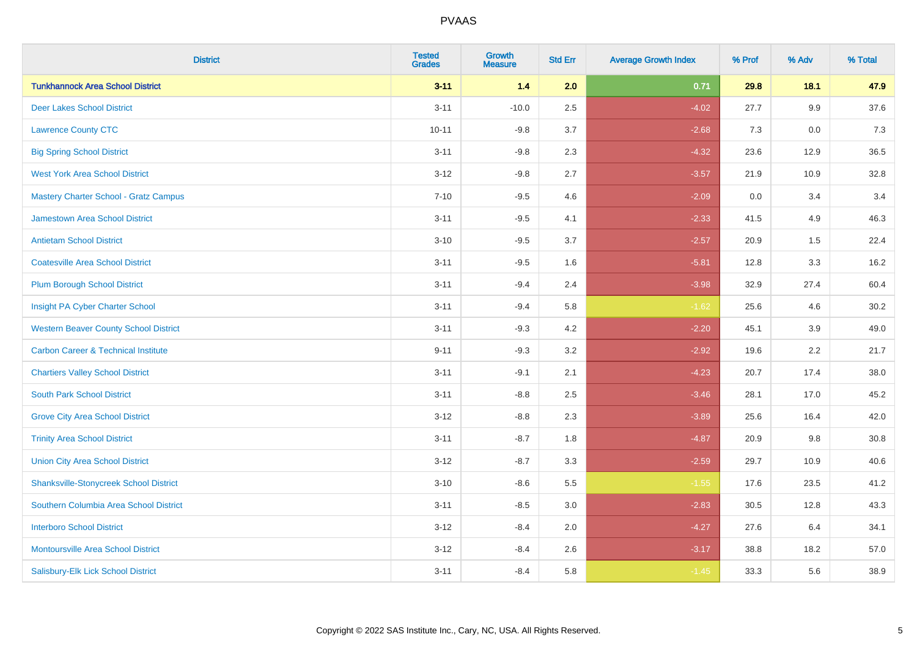| <b>District</b>                                | <b>Tested</b><br><b>Grades</b> | <b>Growth</b><br><b>Measure</b> | <b>Std Err</b> | <b>Average Growth Index</b> | % Prof | % Adv | % Total |
|------------------------------------------------|--------------------------------|---------------------------------|----------------|-----------------------------|--------|-------|---------|
| <b>Tunkhannock Area School District</b>        | $3 - 11$                       | 1.4                             | 2.0            | 0.71                        | 29.8   | 18.1  | 47.9    |
| <b>Deer Lakes School District</b>              | $3 - 11$                       | $-10.0$                         | 2.5            | $-4.02$                     | 27.7   | 9.9   | 37.6    |
| <b>Lawrence County CTC</b>                     | $10 - 11$                      | $-9.8$                          | 3.7            | $-2.68$                     | 7.3    | 0.0   | 7.3     |
| <b>Big Spring School District</b>              | $3 - 11$                       | $-9.8$                          | 2.3            | $-4.32$                     | 23.6   | 12.9  | 36.5    |
| <b>West York Area School District</b>          | $3 - 12$                       | $-9.8$                          | 2.7            | $-3.57$                     | 21.9   | 10.9  | 32.8    |
| <b>Mastery Charter School - Gratz Campus</b>   | $7 - 10$                       | $-9.5$                          | 4.6            | $-2.09$                     | 0.0    | 3.4   | 3.4     |
| Jamestown Area School District                 | $3 - 11$                       | $-9.5$                          | 4.1            | $-2.33$                     | 41.5   | 4.9   | 46.3    |
| <b>Antietam School District</b>                | $3 - 10$                       | $-9.5$                          | 3.7            | $-2.57$                     | 20.9   | 1.5   | 22.4    |
| <b>Coatesville Area School District</b>        | $3 - 11$                       | $-9.5$                          | 1.6            | $-5.81$                     | 12.8   | 3.3   | 16.2    |
| <b>Plum Borough School District</b>            | $3 - 11$                       | $-9.4$                          | 2.4            | $-3.98$                     | 32.9   | 27.4  | 60.4    |
| Insight PA Cyber Charter School                | $3 - 11$                       | $-9.4$                          | 5.8            | $-1.62$                     | 25.6   | 4.6   | 30.2    |
| <b>Western Beaver County School District</b>   | $3 - 11$                       | $-9.3$                          | 4.2            | $-2.20$                     | 45.1   | 3.9   | 49.0    |
| <b>Carbon Career &amp; Technical Institute</b> | $9 - 11$                       | $-9.3$                          | 3.2            | $-2.92$                     | 19.6   | 2.2   | 21.7    |
| <b>Chartiers Valley School District</b>        | $3 - 11$                       | $-9.1$                          | 2.1            | $-4.23$                     | 20.7   | 17.4  | 38.0    |
| <b>South Park School District</b>              | $3 - 11$                       | $-8.8$                          | 2.5            | $-3.46$                     | 28.1   | 17.0  | 45.2    |
| <b>Grove City Area School District</b>         | $3-12$                         | $-8.8$                          | 2.3            | $-3.89$                     | 25.6   | 16.4  | 42.0    |
| <b>Trinity Area School District</b>            | $3 - 11$                       | $-8.7$                          | 1.8            | $-4.87$                     | 20.9   | 9.8   | 30.8    |
| <b>Union City Area School District</b>         | $3 - 12$                       | $-8.7$                          | 3.3            | $-2.59$                     | 29.7   | 10.9  | 40.6    |
| <b>Shanksville-Stonycreek School District</b>  | $3 - 10$                       | $-8.6$                          | 5.5            | $-1.55$                     | 17.6   | 23.5  | 41.2    |
| Southern Columbia Area School District         | $3 - 11$                       | $-8.5$                          | 3.0            | $-2.83$                     | 30.5   | 12.8  | 43.3    |
| <b>Interboro School District</b>               | $3 - 12$                       | $-8.4$                          | 2.0            | $-4.27$                     | 27.6   | 6.4   | 34.1    |
| <b>Montoursville Area School District</b>      | $3 - 12$                       | $-8.4$                          | 2.6            | $-3.17$                     | 38.8   | 18.2  | 57.0    |
| Salisbury-Elk Lick School District             | $3 - 11$                       | $-8.4$                          | 5.8            | $-1.45$                     | 33.3   | 5.6   | 38.9    |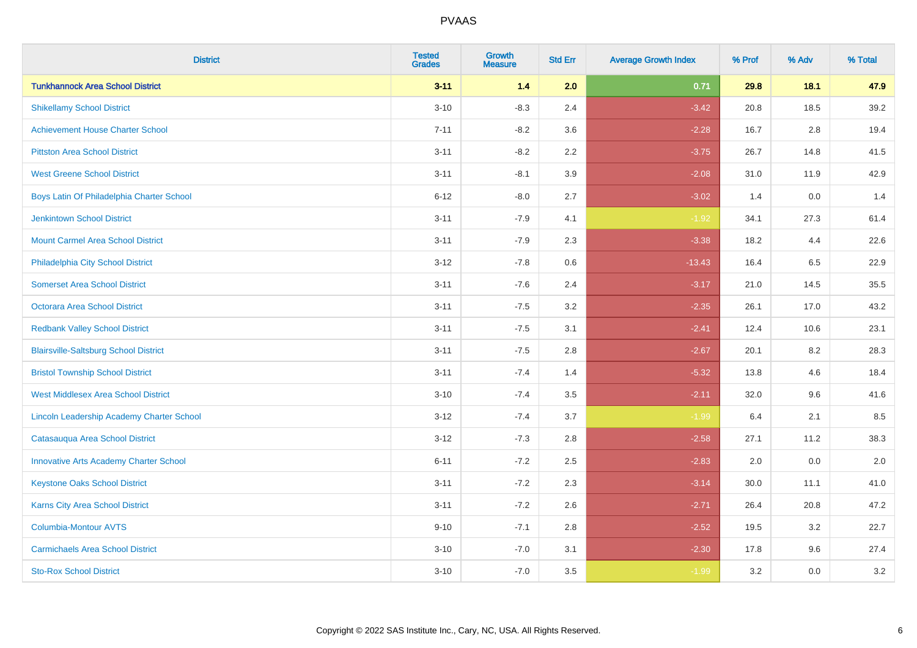| <b>District</b>                               | <b>Tested</b><br><b>Grades</b> | <b>Growth</b><br><b>Measure</b> | <b>Std Err</b> | <b>Average Growth Index</b> | % Prof | % Adv | % Total |
|-----------------------------------------------|--------------------------------|---------------------------------|----------------|-----------------------------|--------|-------|---------|
| <b>Tunkhannock Area School District</b>       | $3 - 11$                       | 1.4                             | 2.0            | 0.71                        | 29.8   | 18.1  | 47.9    |
| <b>Shikellamy School District</b>             | $3 - 10$                       | $-8.3$                          | 2.4            | $-3.42$                     | 20.8   | 18.5  | 39.2    |
| <b>Achievement House Charter School</b>       | $7 - 11$                       | $-8.2$                          | 3.6            | $-2.28$                     | 16.7   | 2.8   | 19.4    |
| <b>Pittston Area School District</b>          | $3 - 11$                       | $-8.2$                          | 2.2            | $-3.75$                     | 26.7   | 14.8  | 41.5    |
| <b>West Greene School District</b>            | $3 - 11$                       | $-8.1$                          | 3.9            | $-2.08$                     | 31.0   | 11.9  | 42.9    |
| Boys Latin Of Philadelphia Charter School     | $6 - 12$                       | $-8.0$                          | 2.7            | $-3.02$                     | 1.4    | 0.0   | 1.4     |
| <b>Jenkintown School District</b>             | $3 - 11$                       | $-7.9$                          | 4.1            | $-1.92$                     | 34.1   | 27.3  | 61.4    |
| <b>Mount Carmel Area School District</b>      | $3 - 11$                       | $-7.9$                          | 2.3            | $-3.38$                     | 18.2   | 4.4   | 22.6    |
| Philadelphia City School District             | $3 - 12$                       | $-7.8$                          | 0.6            | $-13.43$                    | 16.4   | 6.5   | 22.9    |
| <b>Somerset Area School District</b>          | $3 - 11$                       | $-7.6$                          | 2.4            | $-3.17$                     | 21.0   | 14.5  | 35.5    |
| Octorara Area School District                 | $3 - 11$                       | $-7.5$                          | 3.2            | $-2.35$                     | 26.1   | 17.0  | 43.2    |
| <b>Redbank Valley School District</b>         | $3 - 11$                       | $-7.5$                          | 3.1            | $-2.41$                     | 12.4   | 10.6  | 23.1    |
| <b>Blairsville-Saltsburg School District</b>  | $3 - 11$                       | $-7.5$                          | 2.8            | $-2.67$                     | 20.1   | 8.2   | 28.3    |
| <b>Bristol Township School District</b>       | $3 - 11$                       | $-7.4$                          | 1.4            | $-5.32$                     | 13.8   | 4.6   | 18.4    |
| <b>West Middlesex Area School District</b>    | $3 - 10$                       | $-7.4$                          | 3.5            | $-2.11$                     | 32.0   | 9.6   | 41.6    |
| Lincoln Leadership Academy Charter School     | $3 - 12$                       | $-7.4$                          | 3.7            | $-1.99$                     | 6.4    | 2.1   | 8.5     |
| Catasauqua Area School District               | $3 - 12$                       | $-7.3$                          | 2.8            | $-2.58$                     | 27.1   | 11.2  | 38.3    |
| <b>Innovative Arts Academy Charter School</b> | $6 - 11$                       | $-7.2$                          | 2.5            | $-2.83$                     | 2.0    | 0.0   | 2.0     |
| <b>Keystone Oaks School District</b>          | $3 - 11$                       | $-7.2$                          | 2.3            | $-3.14$                     | 30.0   | 11.1  | 41.0    |
| Karns City Area School District               | $3 - 11$                       | $-7.2$                          | 2.6            | $-2.71$                     | 26.4   | 20.8  | 47.2    |
| <b>Columbia-Montour AVTS</b>                  | $9 - 10$                       | $-7.1$                          | 2.8            | $-2.52$                     | 19.5   | 3.2   | 22.7    |
| <b>Carmichaels Area School District</b>       | $3 - 10$                       | $-7.0$                          | 3.1            | $-2.30$                     | 17.8   | 9.6   | 27.4    |
| <b>Sto-Rox School District</b>                | $3 - 10$                       | $-7.0$                          | 3.5            | $-1.99$                     | 3.2    | 0.0   | 3.2     |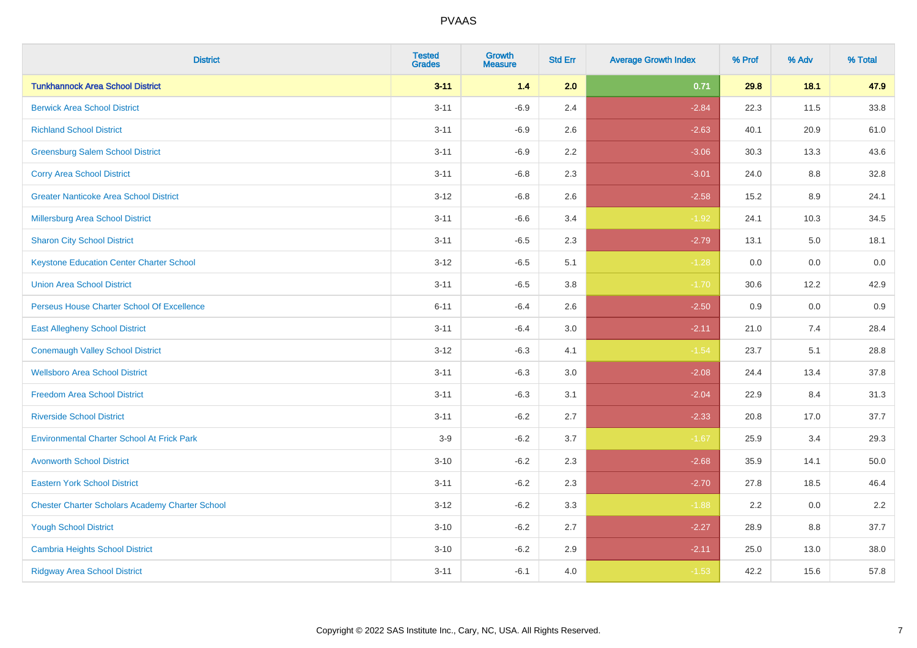| <b>District</b>                                        | <b>Tested</b><br><b>Grades</b> | <b>Growth</b><br><b>Measure</b> | <b>Std Err</b> | <b>Average Growth Index</b> | % Prof | % Adv | % Total  |
|--------------------------------------------------------|--------------------------------|---------------------------------|----------------|-----------------------------|--------|-------|----------|
| <b>Tunkhannock Area School District</b>                | $3 - 11$                       | $1.4$                           | 2.0            | 0.71                        | 29.8   | 18.1  | 47.9     |
| <b>Berwick Area School District</b>                    | $3 - 11$                       | $-6.9$                          | 2.4            | $-2.84$                     | 22.3   | 11.5  | 33.8     |
| <b>Richland School District</b>                        | $3 - 11$                       | $-6.9$                          | 2.6            | $-2.63$                     | 40.1   | 20.9  | 61.0     |
| <b>Greensburg Salem School District</b>                | $3 - 11$                       | $-6.9$                          | 2.2            | $-3.06$                     | 30.3   | 13.3  | 43.6     |
| <b>Corry Area School District</b>                      | $3 - 11$                       | $-6.8$                          | 2.3            | $-3.01$                     | 24.0   | 8.8   | 32.8     |
| <b>Greater Nanticoke Area School District</b>          | $3 - 12$                       | $-6.8$                          | 2.6            | $-2.58$                     | 15.2   | 8.9   | 24.1     |
| Millersburg Area School District                       | $3 - 11$                       | $-6.6$                          | 3.4            | $-1.92$                     | 24.1   | 10.3  | 34.5     |
| <b>Sharon City School District</b>                     | $3 - 11$                       | $-6.5$                          | 2.3            | $-2.79$                     | 13.1   | 5.0   | 18.1     |
| <b>Keystone Education Center Charter School</b>        | $3 - 12$                       | $-6.5$                          | 5.1            | $-1.28$                     | 0.0    | 0.0   | $0.0\,$  |
| <b>Union Area School District</b>                      | $3 - 11$                       | $-6.5$                          | 3.8            | $-1.70$                     | 30.6   | 12.2  | 42.9     |
| Perseus House Charter School Of Excellence             | $6 - 11$                       | $-6.4$                          | 2.6            | $-2.50$                     | 0.9    | 0.0   | 0.9      |
| <b>East Allegheny School District</b>                  | $3 - 11$                       | $-6.4$                          | 3.0            | $-2.11$                     | 21.0   | 7.4   | 28.4     |
| <b>Conemaugh Valley School District</b>                | $3 - 12$                       | $-6.3$                          | 4.1            | $-1.54$                     | 23.7   | 5.1   | 28.8     |
| <b>Wellsboro Area School District</b>                  | $3 - 11$                       | $-6.3$                          | 3.0            | $-2.08$                     | 24.4   | 13.4  | 37.8     |
| <b>Freedom Area School District</b>                    | $3 - 11$                       | $-6.3$                          | 3.1            | $-2.04$                     | 22.9   | 8.4   | 31.3     |
| <b>Riverside School District</b>                       | $3 - 11$                       | $-6.2$                          | 2.7            | $-2.33$                     | 20.8   | 17.0  | 37.7     |
| <b>Environmental Charter School At Frick Park</b>      | $3-9$                          | $-6.2$                          | 3.7            | $-1.67$                     | 25.9   | 3.4   | 29.3     |
| <b>Avonworth School District</b>                       | $3 - 10$                       | $-6.2$                          | 2.3            | $-2.68$                     | 35.9   | 14.1  | $50.0\,$ |
| <b>Eastern York School District</b>                    | $3 - 11$                       | $-6.2$                          | 2.3            | $-2.70$                     | 27.8   | 18.5  | 46.4     |
| <b>Chester Charter Scholars Academy Charter School</b> | $3-12$                         | $-6.2$                          | 3.3            | $-1.88$                     | 2.2    | 0.0   | 2.2      |
| <b>Yough School District</b>                           | $3 - 10$                       | $-6.2$                          | 2.7            | $-2.27$                     | 28.9   | 8.8   | 37.7     |
| <b>Cambria Heights School District</b>                 | $3 - 10$                       | $-6.2$                          | 2.9            | $-2.11$                     | 25.0   | 13.0  | 38.0     |
| <b>Ridgway Area School District</b>                    | $3 - 11$                       | $-6.1$                          | 4.0            | $-1.53$                     | 42.2   | 15.6  | 57.8     |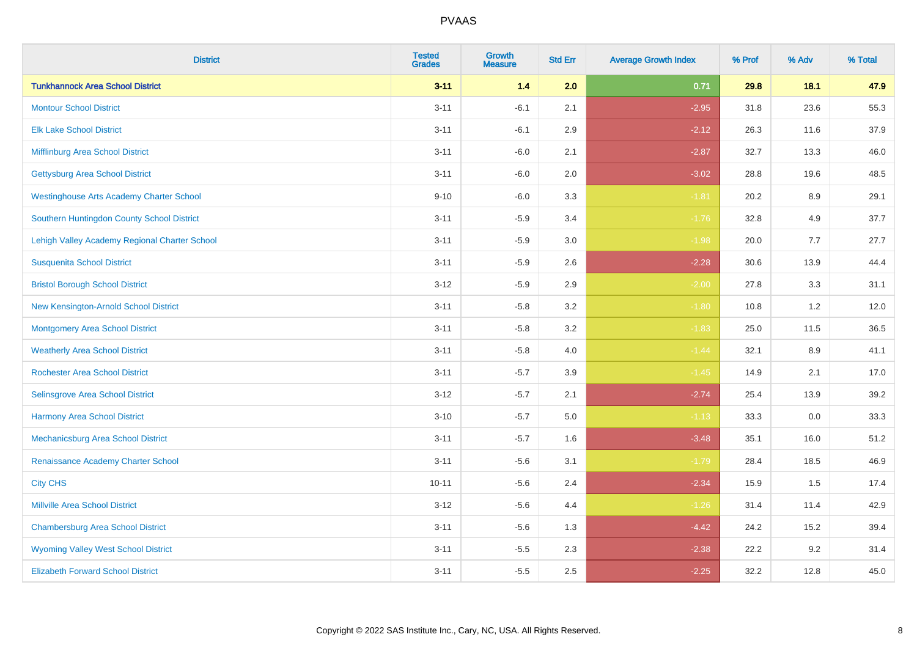| <b>District</b>                                 | <b>Tested</b><br><b>Grades</b> | <b>Growth</b><br><b>Measure</b> | <b>Std Err</b> | <b>Average Growth Index</b> | % Prof | % Adv   | % Total |
|-------------------------------------------------|--------------------------------|---------------------------------|----------------|-----------------------------|--------|---------|---------|
| <b>Tunkhannock Area School District</b>         | $3 - 11$                       | $1.4$                           | 2.0            | 0.71                        | 29.8   | 18.1    | 47.9    |
| <b>Montour School District</b>                  | $3 - 11$                       | $-6.1$                          | 2.1            | $-2.95$                     | 31.8   | 23.6    | 55.3    |
| <b>Elk Lake School District</b>                 | $3 - 11$                       | $-6.1$                          | 2.9            | $-2.12$                     | 26.3   | 11.6    | 37.9    |
| Mifflinburg Area School District                | $3 - 11$                       | $-6.0$                          | 2.1            | $-2.87$                     | 32.7   | 13.3    | 46.0    |
| <b>Gettysburg Area School District</b>          | $3 - 11$                       | $-6.0$                          | 2.0            | $-3.02$                     | 28.8   | 19.6    | 48.5    |
| <b>Westinghouse Arts Academy Charter School</b> | $9 - 10$                       | $-6.0$                          | 3.3            | $-1.81$                     | 20.2   | $8.9\,$ | 29.1    |
| Southern Huntingdon County School District      | $3 - 11$                       | $-5.9$                          | 3.4            | $-1.76$                     | 32.8   | 4.9     | 37.7    |
| Lehigh Valley Academy Regional Charter School   | $3 - 11$                       | $-5.9$                          | 3.0            | $-1.98$                     | 20.0   | 7.7     | 27.7    |
| <b>Susquenita School District</b>               | $3 - 11$                       | $-5.9$                          | 2.6            | $-2.28$                     | 30.6   | 13.9    | 44.4    |
| <b>Bristol Borough School District</b>          | $3 - 12$                       | $-5.9$                          | 2.9            | $-2.00$                     | 27.8   | 3.3     | 31.1    |
| New Kensington-Arnold School District           | $3 - 11$                       | $-5.8$                          | 3.2            | $-1.80$                     | 10.8   | 1.2     | 12.0    |
| <b>Montgomery Area School District</b>          | $3 - 11$                       | $-5.8$                          | 3.2            | $-1.83$                     | 25.0   | 11.5    | 36.5    |
| <b>Weatherly Area School District</b>           | $3 - 11$                       | $-5.8$                          | $4.0\,$        | $-1.44$                     | 32.1   | 8.9     | 41.1    |
| <b>Rochester Area School District</b>           | $3 - 11$                       | $-5.7$                          | 3.9            | $-1.45$                     | 14.9   | 2.1     | 17.0    |
| <b>Selinsgrove Area School District</b>         | $3 - 12$                       | $-5.7$                          | 2.1            | $-2.74$                     | 25.4   | 13.9    | 39.2    |
| <b>Harmony Area School District</b>             | $3 - 10$                       | $-5.7$                          | 5.0            | $-1.13$                     | 33.3   | $0.0\,$ | 33.3    |
| Mechanicsburg Area School District              | $3 - 11$                       | $-5.7$                          | 1.6            | $-3.48$                     | 35.1   | 16.0    | 51.2    |
| Renaissance Academy Charter School              | $3 - 11$                       | $-5.6$                          | 3.1            | $-1.79$                     | 28.4   | 18.5    | 46.9    |
| <b>City CHS</b>                                 | $10 - 11$                      | $-5.6$                          | 2.4            | $-2.34$                     | 15.9   | 1.5     | 17.4    |
| <b>Millville Area School District</b>           | $3 - 12$                       | $-5.6$                          | 4.4            | $-1.26$                     | 31.4   | 11.4    | 42.9    |
| <b>Chambersburg Area School District</b>        | $3 - 11$                       | $-5.6$                          | 1.3            | $-4.42$                     | 24.2   | 15.2    | 39.4    |
| <b>Wyoming Valley West School District</b>      | $3 - 11$                       | $-5.5$                          | 2.3            | $-2.38$                     | 22.2   | 9.2     | 31.4    |
| <b>Elizabeth Forward School District</b>        | $3 - 11$                       | $-5.5$                          | 2.5            | $-2.25$                     | 32.2   | 12.8    | 45.0    |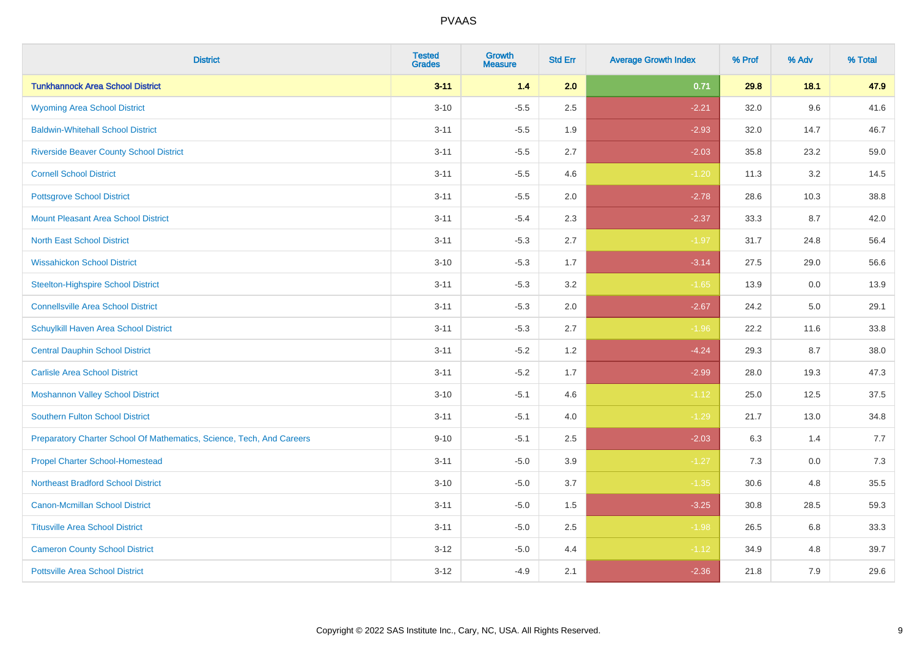| <b>District</b>                                                       | <b>Tested</b><br><b>Grades</b> | Growth<br><b>Measure</b> | <b>Std Err</b> | <b>Average Growth Index</b> | % Prof | % Adv | % Total |
|-----------------------------------------------------------------------|--------------------------------|--------------------------|----------------|-----------------------------|--------|-------|---------|
| <b>Tunkhannock Area School District</b>                               | $3 - 11$                       | 1.4                      | 2.0            | 0.71                        | 29.8   | 18.1  | 47.9    |
| <b>Wyoming Area School District</b>                                   | $3 - 10$                       | $-5.5$                   | 2.5            | $-2.21$                     | 32.0   | 9.6   | 41.6    |
| <b>Baldwin-Whitehall School District</b>                              | $3 - 11$                       | $-5.5$                   | 1.9            | $-2.93$                     | 32.0   | 14.7  | 46.7    |
| <b>Riverside Beaver County School District</b>                        | $3 - 11$                       | $-5.5$                   | 2.7            | $-2.03$                     | 35.8   | 23.2  | 59.0    |
| <b>Cornell School District</b>                                        | $3 - 11$                       | $-5.5$                   | 4.6            | $-1.20$                     | 11.3   | 3.2   | 14.5    |
| <b>Pottsgrove School District</b>                                     | $3 - 11$                       | $-5.5$                   | 2.0            | $-2.78$                     | 28.6   | 10.3  | 38.8    |
| <b>Mount Pleasant Area School District</b>                            | $3 - 11$                       | $-5.4$                   | 2.3            | $-2.37$                     | 33.3   | 8.7   | 42.0    |
| <b>North East School District</b>                                     | $3 - 11$                       | $-5.3$                   | 2.7            | $-1.97$                     | 31.7   | 24.8  | 56.4    |
| <b>Wissahickon School District</b>                                    | $3 - 10$                       | $-5.3$                   | 1.7            | $-3.14$                     | 27.5   | 29.0  | 56.6    |
| <b>Steelton-Highspire School District</b>                             | $3 - 11$                       | $-5.3$                   | 3.2            | $-1.65$                     | 13.9   | 0.0   | 13.9    |
| <b>Connellsville Area School District</b>                             | $3 - 11$                       | $-5.3$                   | 2.0            | $-2.67$                     | 24.2   | 5.0   | 29.1    |
| Schuylkill Haven Area School District                                 | $3 - 11$                       | $-5.3$                   | 2.7            | $-1.96$                     | 22.2   | 11.6  | 33.8    |
| <b>Central Dauphin School District</b>                                | $3 - 11$                       | $-5.2$                   | 1.2            | $-4.24$                     | 29.3   | 8.7   | 38.0    |
| <b>Carlisle Area School District</b>                                  | $3 - 11$                       | $-5.2$                   | 1.7            | $-2.99$                     | 28.0   | 19.3  | 47.3    |
| <b>Moshannon Valley School District</b>                               | $3 - 10$                       | $-5.1$                   | 4.6            | $-1.12$                     | 25.0   | 12.5  | 37.5    |
| <b>Southern Fulton School District</b>                                | $3 - 11$                       | $-5.1$                   | 4.0            | $-1.29$                     | 21.7   | 13.0  | 34.8    |
| Preparatory Charter School Of Mathematics, Science, Tech, And Careers | $9 - 10$                       | $-5.1$                   | 2.5            | $-2.03$                     | 6.3    | 1.4   | 7.7     |
| <b>Propel Charter School-Homestead</b>                                | $3 - 11$                       | $-5.0$                   | 3.9            | $-1.27$                     | 7.3    | 0.0   | 7.3     |
| <b>Northeast Bradford School District</b>                             | $3 - 10$                       | $-5.0$                   | 3.7            | $-1.35$                     | 30.6   | 4.8   | 35.5    |
| <b>Canon-Mcmillan School District</b>                                 | $3 - 11$                       | $-5.0$                   | 1.5            | $-3.25$                     | 30.8   | 28.5  | 59.3    |
| <b>Titusville Area School District</b>                                | $3 - 11$                       | $-5.0$                   | 2.5            | $-1.98$                     | 26.5   | 6.8   | 33.3    |
| <b>Cameron County School District</b>                                 | $3 - 12$                       | $-5.0$                   | 4.4            | $-1.12$                     | 34.9   | 4.8   | 39.7    |
| <b>Pottsville Area School District</b>                                | $3 - 12$                       | $-4.9$                   | 2.1            | $-2.36$                     | 21.8   | 7.9   | 29.6    |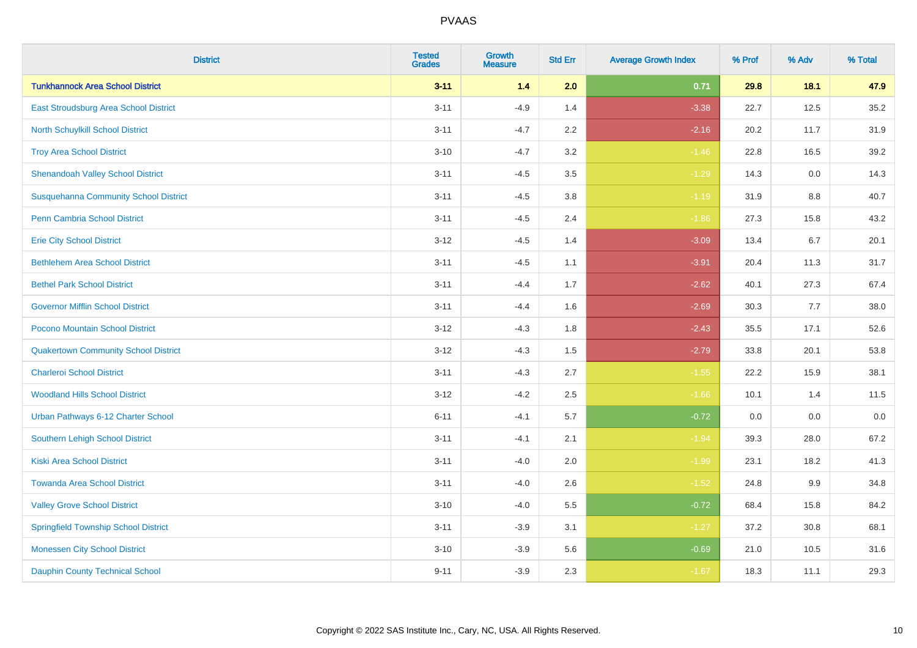| <b>District</b>                              | <b>Tested</b><br><b>Grades</b> | <b>Growth</b><br><b>Measure</b> | <b>Std Err</b> | <b>Average Growth Index</b> | % Prof | % Adv | % Total |
|----------------------------------------------|--------------------------------|---------------------------------|----------------|-----------------------------|--------|-------|---------|
| <b>Tunkhannock Area School District</b>      | $3 - 11$                       | $1.4$                           | 2.0            | 0.71                        | 29.8   | 18.1  | 47.9    |
| East Stroudsburg Area School District        | $3 - 11$                       | $-4.9$                          | 1.4            | $-3.38$                     | 22.7   | 12.5  | 35.2    |
| North Schuylkill School District             | $3 - 11$                       | $-4.7$                          | 2.2            | $-2.16$                     | 20.2   | 11.7  | 31.9    |
| <b>Troy Area School District</b>             | $3 - 10$                       | $-4.7$                          | 3.2            | $-1.46$                     | 22.8   | 16.5  | 39.2    |
| <b>Shenandoah Valley School District</b>     | $3 - 11$                       | $-4.5$                          | 3.5            | $-1.29$                     | 14.3   | 0.0   | 14.3    |
| <b>Susquehanna Community School District</b> | $3 - 11$                       | $-4.5$                          | 3.8            | $-1.19$                     | 31.9   | 8.8   | 40.7    |
| Penn Cambria School District                 | $3 - 11$                       | $-4.5$                          | 2.4            | $-1.86$                     | 27.3   | 15.8  | 43.2    |
| <b>Erie City School District</b>             | $3 - 12$                       | $-4.5$                          | 1.4            | $-3.09$                     | 13.4   | 6.7   | 20.1    |
| <b>Bethlehem Area School District</b>        | $3 - 11$                       | $-4.5$                          | 1.1            | $-3.91$                     | 20.4   | 11.3  | 31.7    |
| <b>Bethel Park School District</b>           | $3 - 11$                       | $-4.4$                          | 1.7            | $-2.62$                     | 40.1   | 27.3  | 67.4    |
| <b>Governor Mifflin School District</b>      | $3 - 11$                       | $-4.4$                          | 1.6            | $-2.69$                     | 30.3   | 7.7   | 38.0    |
| Pocono Mountain School District              | $3 - 12$                       | $-4.3$                          | 1.8            | $-2.43$                     | 35.5   | 17.1  | 52.6    |
| <b>Quakertown Community School District</b>  | $3 - 12$                       | $-4.3$                          | $1.5\,$        | $-2.79$                     | 33.8   | 20.1  | 53.8    |
| <b>Charleroi School District</b>             | $3 - 11$                       | $-4.3$                          | 2.7            | $-1.55$                     | 22.2   | 15.9  | 38.1    |
| <b>Woodland Hills School District</b>        | $3 - 12$                       | $-4.2$                          | 2.5            | $-1.66$                     | 10.1   | 1.4   | 11.5    |
| Urban Pathways 6-12 Charter School           | $6 - 11$                       | $-4.1$                          | 5.7            | $-0.72$                     | 0.0    | 0.0   | $0.0\,$ |
| Southern Lehigh School District              | $3 - 11$                       | $-4.1$                          | 2.1            | $-1.94$                     | 39.3   | 28.0  | 67.2    |
| <b>Kiski Area School District</b>            | $3 - 11$                       | $-4.0$                          | 2.0            | $-1.99$                     | 23.1   | 18.2  | 41.3    |
| <b>Towanda Area School District</b>          | $3 - 11$                       | $-4.0$                          | 2.6            | $-1.52$                     | 24.8   | 9.9   | 34.8    |
| <b>Valley Grove School District</b>          | $3 - 10$                       | $-4.0$                          | 5.5            | $-0.72$                     | 68.4   | 15.8  | 84.2    |
| <b>Springfield Township School District</b>  | $3 - 11$                       | $-3.9$                          | 3.1            | $-1.27$                     | 37.2   | 30.8  | 68.1    |
| <b>Monessen City School District</b>         | $3 - 10$                       | $-3.9$                          | 5.6            | $-0.69$                     | 21.0   | 10.5  | 31.6    |
| <b>Dauphin County Technical School</b>       | $9 - 11$                       | $-3.9$                          | 2.3            | $-1.67$                     | 18.3   | 11.1  | 29.3    |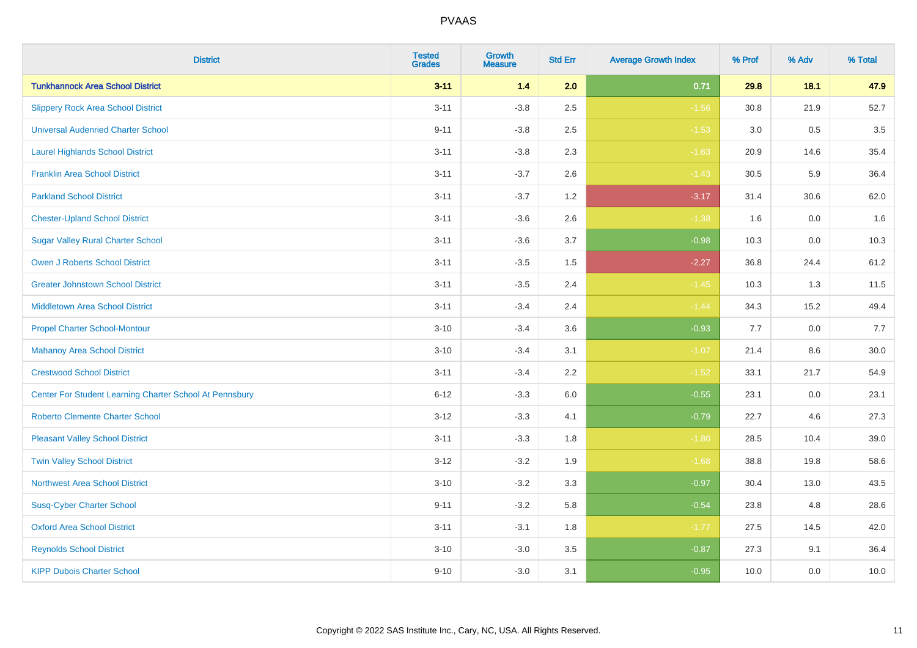| <b>District</b>                                         | <b>Tested</b><br><b>Grades</b> | <b>Growth</b><br><b>Measure</b> | <b>Std Err</b> | <b>Average Growth Index</b> | % Prof | % Adv   | % Total |
|---------------------------------------------------------|--------------------------------|---------------------------------|----------------|-----------------------------|--------|---------|---------|
| <b>Tunkhannock Area School District</b>                 | $3 - 11$                       | $1.4$                           | 2.0            | 0.71                        | 29.8   | 18.1    | 47.9    |
| <b>Slippery Rock Area School District</b>               | $3 - 11$                       | $-3.8$                          | 2.5            | $-1.56$                     | 30.8   | 21.9    | 52.7    |
| <b>Universal Audenried Charter School</b>               | $9 - 11$                       | $-3.8$                          | 2.5            | $-1.53$                     | 3.0    | 0.5     | 3.5     |
| <b>Laurel Highlands School District</b>                 | $3 - 11$                       | $-3.8$                          | 2.3            | $-1.63$                     | 20.9   | 14.6    | 35.4    |
| <b>Franklin Area School District</b>                    | $3 - 11$                       | $-3.7$                          | 2.6            | $-1.43$                     | 30.5   | 5.9     | 36.4    |
| <b>Parkland School District</b>                         | $3 - 11$                       | $-3.7$                          | 1.2            | $-3.17$                     | 31.4   | 30.6    | 62.0    |
| <b>Chester-Upland School District</b>                   | $3 - 11$                       | $-3.6$                          | 2.6            | $-1.38$                     | 1.6    | $0.0\,$ | 1.6     |
| <b>Sugar Valley Rural Charter School</b>                | $3 - 11$                       | $-3.6$                          | 3.7            | $-0.98$                     | 10.3   | 0.0     | 10.3    |
| <b>Owen J Roberts School District</b>                   | $3 - 11$                       | $-3.5$                          | 1.5            | $-2.27$                     | 36.8   | 24.4    | 61.2    |
| <b>Greater Johnstown School District</b>                | $3 - 11$                       | $-3.5$                          | 2.4            | $-1.45$                     | 10.3   | 1.3     | 11.5    |
| <b>Middletown Area School District</b>                  | $3 - 11$                       | $-3.4$                          | 2.4            | $-1.44$                     | 34.3   | 15.2    | 49.4    |
| <b>Propel Charter School-Montour</b>                    | $3 - 10$                       | $-3.4$                          | 3.6            | $-0.93$                     | 7.7    | 0.0     | 7.7     |
| <b>Mahanoy Area School District</b>                     | $3 - 10$                       | $-3.4$                          | 3.1            | $-1.07$                     | 21.4   | 8.6     | 30.0    |
| <b>Crestwood School District</b>                        | $3 - 11$                       | $-3.4$                          | 2.2            | $-1.52$                     | 33.1   | 21.7    | 54.9    |
| Center For Student Learning Charter School At Pennsbury | $6 - 12$                       | $-3.3$                          | 6.0            | $-0.55$                     | 23.1   | 0.0     | 23.1    |
| <b>Roberto Clemente Charter School</b>                  | $3 - 12$                       | $-3.3$                          | 4.1            | $-0.79$                     | 22.7   | 4.6     | 27.3    |
| <b>Pleasant Valley School District</b>                  | $3 - 11$                       | $-3.3$                          | 1.8            | $-1.80$                     | 28.5   | 10.4    | 39.0    |
| <b>Twin Valley School District</b>                      | $3 - 12$                       | $-3.2$                          | 1.9            | $-1.68$                     | 38.8   | 19.8    | 58.6    |
| <b>Northwest Area School District</b>                   | $3 - 10$                       | $-3.2$                          | 3.3            | $-0.97$                     | 30.4   | 13.0    | 43.5    |
| <b>Susq-Cyber Charter School</b>                        | $9 - 11$                       | $-3.2$                          | 5.8            | $-0.54$                     | 23.8   | 4.8     | 28.6    |
| <b>Oxford Area School District</b>                      | $3 - 11$                       | $-3.1$                          | 1.8            | $-1.77$                     | 27.5   | 14.5    | 42.0    |
| <b>Reynolds School District</b>                         | $3 - 10$                       | $-3.0$                          | 3.5            | $-0.87$                     | 27.3   | 9.1     | 36.4    |
| <b>KIPP Dubois Charter School</b>                       | $9 - 10$                       | $-3.0$                          | 3.1            | $-0.95$                     | 10.0   | 0.0     | 10.0    |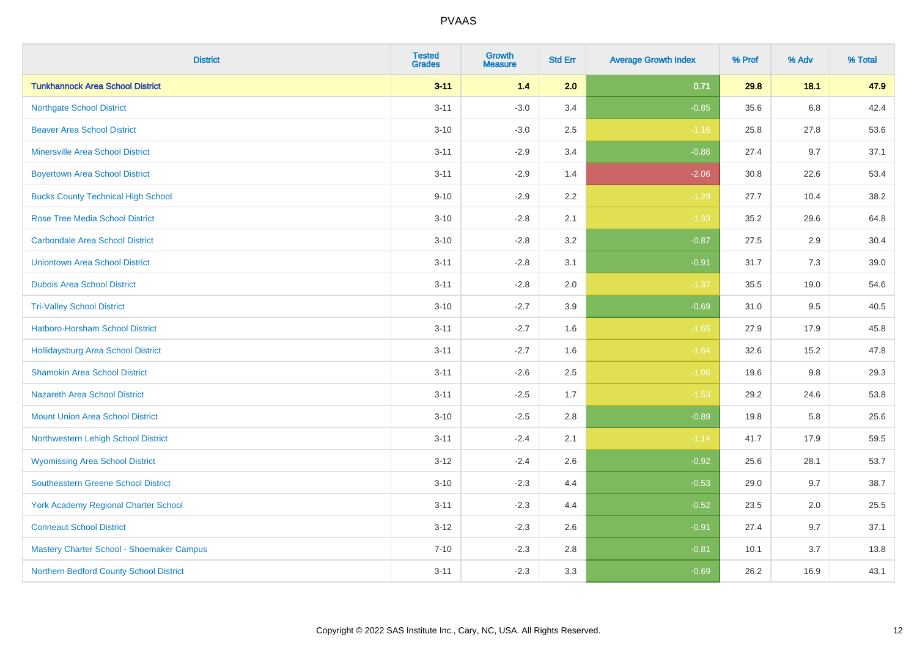| <b>District</b>                             | <b>Tested</b><br><b>Grades</b> | <b>Growth</b><br><b>Measure</b> | <b>Std Err</b> | <b>Average Growth Index</b> | % Prof | % Adv | % Total |
|---------------------------------------------|--------------------------------|---------------------------------|----------------|-----------------------------|--------|-------|---------|
| <b>Tunkhannock Area School District</b>     | $3 - 11$                       | 1.4                             | 2.0            | 0.71                        | 29.8   | 18.1  | 47.9    |
| <b>Northgate School District</b>            | $3 - 11$                       | $-3.0$                          | 3.4            | $-0.85$                     | 35.6   | 6.8   | 42.4    |
| <b>Beaver Area School District</b>          | $3 - 10$                       | $-3.0$                          | 2.5            | $-1.16$                     | 25.8   | 27.8  | 53.6    |
| <b>Minersville Area School District</b>     | $3 - 11$                       | $-2.9$                          | 3.4            | $-0.86$                     | 27.4   | 9.7   | 37.1    |
| <b>Boyertown Area School District</b>       | $3 - 11$                       | $-2.9$                          | 1.4            | $-2.06$                     | 30.8   | 22.6  | 53.4    |
| <b>Bucks County Technical High School</b>   | $9 - 10$                       | $-2.9$                          | 2.2            | $-1.29$                     | 27.7   | 10.4  | 38.2    |
| <b>Rose Tree Media School District</b>      | $3 - 10$                       | $-2.8$                          | 2.1            | $-1.33$                     | 35.2   | 29.6  | 64.8    |
| <b>Carbondale Area School District</b>      | $3 - 10$                       | $-2.8$                          | 3.2            | $-0.87$                     | 27.5   | 2.9   | 30.4    |
| <b>Uniontown Area School District</b>       | $3 - 11$                       | $-2.8$                          | 3.1            | $-0.91$                     | 31.7   | 7.3   | 39.0    |
| <b>Dubois Area School District</b>          | $3 - 11$                       | $-2.8$                          | 2.0            | $-1.37$                     | 35.5   | 19.0  | 54.6    |
| <b>Tri-Valley School District</b>           | $3 - 10$                       | $-2.7$                          | 3.9            | $-0.69$                     | 31.0   | 9.5   | 40.5    |
| Hatboro-Horsham School District             | $3 - 11$                       | $-2.7$                          | 1.6            | $-1.65$                     | 27.9   | 17.9  | 45.8    |
| Hollidaysburg Area School District          | $3 - 11$                       | $-2.7$                          | 1.6            | $-1.64$                     | 32.6   | 15.2  | 47.8    |
| <b>Shamokin Area School District</b>        | $3 - 11$                       | $-2.6$                          | 2.5            | $-1.06$                     | 19.6   | 9.8   | 29.3    |
| <b>Nazareth Area School District</b>        | $3 - 11$                       | $-2.5$                          | 1.7            | $-1.53$                     | 29.2   | 24.6  | 53.8    |
| <b>Mount Union Area School District</b>     | $3 - 10$                       | $-2.5$                          | 2.8            | $-0.89$                     | 19.8   | 5.8   | 25.6    |
| Northwestern Lehigh School District         | $3 - 11$                       | $-2.4$                          | 2.1            | $-1.14$                     | 41.7   | 17.9  | 59.5    |
| <b>Wyomissing Area School District</b>      | $3-12$                         | $-2.4$                          | 2.6            | $-0.92$                     | 25.6   | 28.1  | 53.7    |
| <b>Southeastern Greene School District</b>  | $3 - 10$                       | $-2.3$                          | 4.4            | $-0.53$                     | 29.0   | 9.7   | 38.7    |
| <b>York Academy Regional Charter School</b> | $3 - 11$                       | $-2.3$                          | 4.4            | $-0.52$                     | 23.5   | 2.0   | 25.5    |
| <b>Conneaut School District</b>             | $3 - 12$                       | $-2.3$                          | 2.6            | $-0.91$                     | 27.4   | 9.7   | 37.1    |
| Mastery Charter School - Shoemaker Campus   | $7 - 10$                       | $-2.3$                          | 2.8            | $-0.81$                     | 10.1   | 3.7   | 13.8    |
| Northern Bedford County School District     | $3 - 11$                       | $-2.3$                          | 3.3            | $-0.69$                     | 26.2   | 16.9  | 43.1    |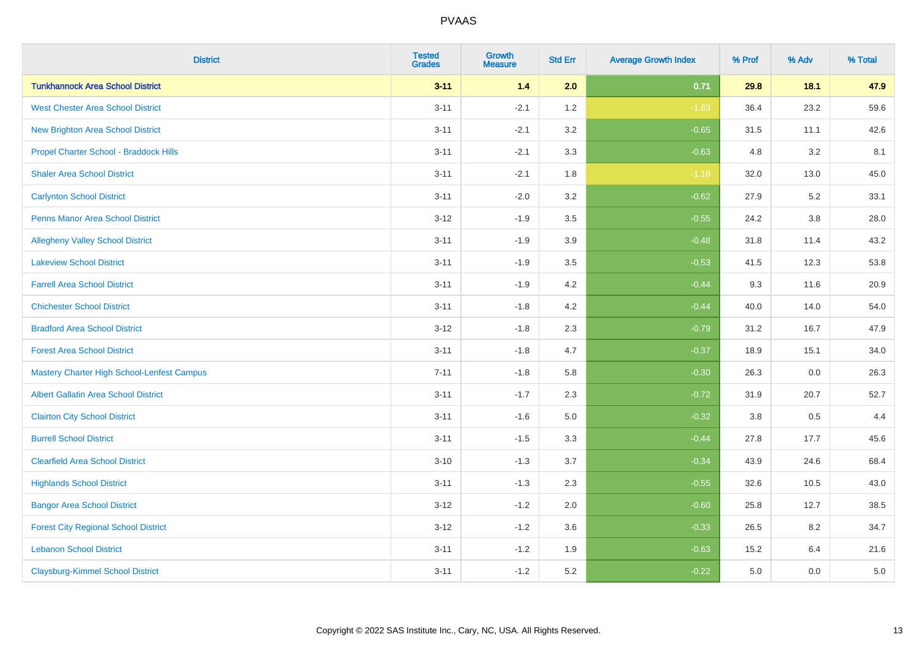| <b>District</b>                                   | <b>Tested</b><br><b>Grades</b> | Growth<br><b>Measure</b> | <b>Std Err</b> | <b>Average Growth Index</b> | % Prof | % Adv   | % Total |
|---------------------------------------------------|--------------------------------|--------------------------|----------------|-----------------------------|--------|---------|---------|
| <b>Tunkhannock Area School District</b>           | $3 - 11$                       | $1.4$                    | 2.0            | 0.71                        | 29.8   | 18.1    | 47.9    |
| <b>West Chester Area School District</b>          | $3 - 11$                       | $-2.1$                   | 1.2            | $-1.83$                     | 36.4   | 23.2    | 59.6    |
| New Brighton Area School District                 | $3 - 11$                       | $-2.1$                   | 3.2            | $-0.65$                     | 31.5   | 11.1    | 42.6    |
| Propel Charter School - Braddock Hills            | $3 - 11$                       | $-2.1$                   | 3.3            | $-0.63$                     | 4.8    | 3.2     | 8.1     |
| <b>Shaler Area School District</b>                | $3 - 11$                       | $-2.1$                   | 1.8            | $-1.18$                     | 32.0   | 13.0    | 45.0    |
| <b>Carlynton School District</b>                  | $3 - 11$                       | $-2.0$                   | 3.2            | $-0.62$                     | 27.9   | 5.2     | 33.1    |
| <b>Penns Manor Area School District</b>           | $3 - 12$                       | $-1.9$                   | 3.5            | $-0.55$                     | 24.2   | $3.8\,$ | 28.0    |
| <b>Allegheny Valley School District</b>           | $3 - 11$                       | $-1.9$                   | 3.9            | $-0.48$                     | 31.8   | 11.4    | 43.2    |
| <b>Lakeview School District</b>                   | $3 - 11$                       | $-1.9$                   | 3.5            | $-0.53$                     | 41.5   | 12.3    | 53.8    |
| <b>Farrell Area School District</b>               | $3 - 11$                       | $-1.9$                   | 4.2            | $-0.44$                     | 9.3    | 11.6    | 20.9    |
| <b>Chichester School District</b>                 | $3 - 11$                       | $-1.8$                   | 4.2            | $-0.44$                     | 40.0   | 14.0    | 54.0    |
| <b>Bradford Area School District</b>              | $3 - 12$                       | $-1.8$                   | 2.3            | $-0.79$                     | 31.2   | 16.7    | 47.9    |
| <b>Forest Area School District</b>                | $3 - 11$                       | $-1.8$                   | 4.7            | $-0.37$                     | 18.9   | 15.1    | 34.0    |
| <b>Mastery Charter High School-Lenfest Campus</b> | $7 - 11$                       | $-1.8$                   | 5.8            | $-0.30$                     | 26.3   | 0.0     | 26.3    |
| <b>Albert Gallatin Area School District</b>       | $3 - 11$                       | $-1.7$                   | 2.3            | $-0.72$                     | 31.9   | 20.7    | 52.7    |
| <b>Clairton City School District</b>              | $3 - 11$                       | $-1.6$                   | 5.0            | $-0.32$                     | 3.8    | 0.5     | 4.4     |
| <b>Burrell School District</b>                    | $3 - 11$                       | $-1.5$                   | 3.3            | $-0.44$                     | 27.8   | 17.7    | 45.6    |
| <b>Clearfield Area School District</b>            | $3 - 10$                       | $-1.3$                   | 3.7            | $-0.34$                     | 43.9   | 24.6    | 68.4    |
| <b>Highlands School District</b>                  | $3 - 11$                       | $-1.3$                   | 2.3            | $-0.55$                     | 32.6   | 10.5    | 43.0    |
| <b>Bangor Area School District</b>                | $3 - 12$                       | $-1.2$                   | 2.0            | $-0.60$                     | 25.8   | 12.7    | 38.5    |
| <b>Forest City Regional School District</b>       | $3 - 12$                       | $-1.2$                   | 3.6            | $-0.33$                     | 26.5   | 8.2     | 34.7    |
| <b>Lebanon School District</b>                    | $3 - 11$                       | $-1.2$                   | 1.9            | $-0.63$                     | 15.2   | 6.4     | 21.6    |
| <b>Claysburg-Kimmel School District</b>           | $3 - 11$                       | $-1.2$                   | 5.2            | $-0.22$                     | 5.0    | 0.0     | 5.0     |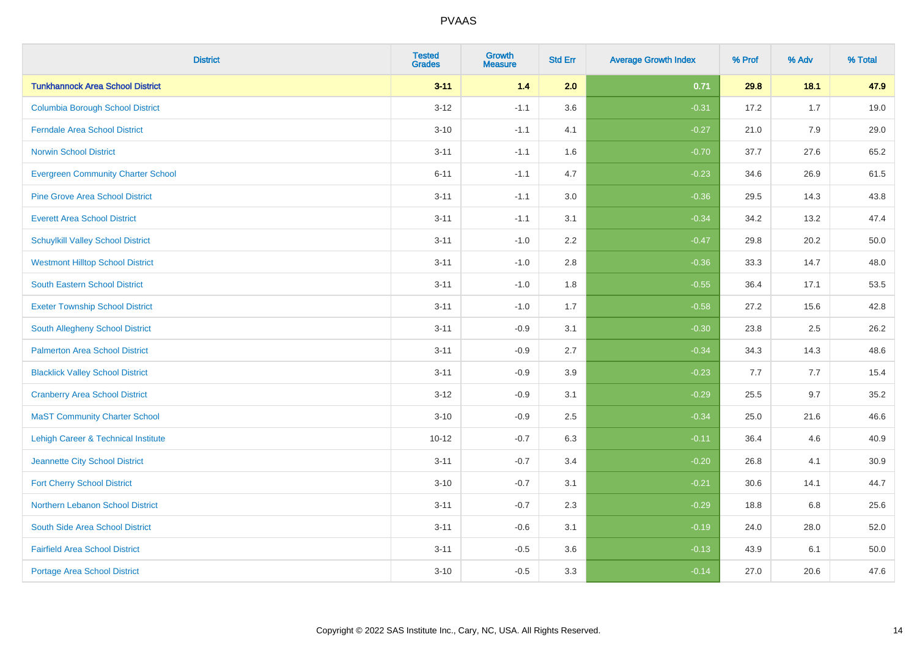| <b>District</b>                           | <b>Tested</b><br><b>Grades</b> | <b>Growth</b><br><b>Measure</b> | <b>Std Err</b> | <b>Average Growth Index</b> | % Prof | % Adv | % Total |
|-------------------------------------------|--------------------------------|---------------------------------|----------------|-----------------------------|--------|-------|---------|
| <b>Tunkhannock Area School District</b>   | $3 - 11$                       | 1.4                             | 2.0            | 0.71                        | 29.8   | 18.1  | 47.9    |
| <b>Columbia Borough School District</b>   | $3 - 12$                       | $-1.1$                          | 3.6            | $-0.31$                     | 17.2   | 1.7   | 19.0    |
| <b>Ferndale Area School District</b>      | $3 - 10$                       | $-1.1$                          | 4.1            | $-0.27$                     | 21.0   | 7.9   | 29.0    |
| <b>Norwin School District</b>             | $3 - 11$                       | $-1.1$                          | 1.6            | $-0.70$                     | 37.7   | 27.6  | 65.2    |
| <b>Evergreen Community Charter School</b> | $6 - 11$                       | $-1.1$                          | 4.7            | $-0.23$                     | 34.6   | 26.9  | 61.5    |
| <b>Pine Grove Area School District</b>    | $3 - 11$                       | $-1.1$                          | 3.0            | $-0.36$                     | 29.5   | 14.3  | 43.8    |
| <b>Everett Area School District</b>       | $3 - 11$                       | $-1.1$                          | 3.1            | $-0.34$                     | 34.2   | 13.2  | 47.4    |
| <b>Schuylkill Valley School District</b>  | $3 - 11$                       | $-1.0$                          | 2.2            | $-0.47$                     | 29.8   | 20.2  | 50.0    |
| <b>Westmont Hilltop School District</b>   | $3 - 11$                       | $-1.0$                          | 2.8            | $-0.36$                     | 33.3   | 14.7  | 48.0    |
| South Eastern School District             | $3 - 11$                       | $-1.0$                          | 1.8            | $-0.55$                     | 36.4   | 17.1  | 53.5    |
| <b>Exeter Township School District</b>    | $3 - 11$                       | $-1.0$                          | 1.7            | $-0.58$                     | 27.2   | 15.6  | 42.8    |
| South Allegheny School District           | $3 - 11$                       | $-0.9$                          | 3.1            | $-0.30$                     | 23.8   | 2.5   | 26.2    |
| <b>Palmerton Area School District</b>     | $3 - 11$                       | $-0.9$                          | 2.7            | $-0.34$                     | 34.3   | 14.3  | 48.6    |
| <b>Blacklick Valley School District</b>   | $3 - 11$                       | $-0.9$                          | 3.9            | $-0.23$                     | 7.7    | 7.7   | 15.4    |
| <b>Cranberry Area School District</b>     | $3 - 12$                       | $-0.9$                          | 3.1            | $-0.29$                     | 25.5   | 9.7   | 35.2    |
| <b>MaST Community Charter School</b>      | $3 - 10$                       | $-0.9$                          | 2.5            | $-0.34$                     | 25.0   | 21.6  | 46.6    |
| Lehigh Career & Technical Institute       | $10 - 12$                      | $-0.7$                          | 6.3            | $-0.11$                     | 36.4   | 4.6   | 40.9    |
| Jeannette City School District            | $3 - 11$                       | $-0.7$                          | 3.4            | $-0.20$                     | 26.8   | 4.1   | 30.9    |
| <b>Fort Cherry School District</b>        | $3 - 10$                       | $-0.7$                          | 3.1            | $-0.21$                     | 30.6   | 14.1  | 44.7    |
| Northern Lebanon School District          | $3 - 11$                       | $-0.7$                          | 2.3            | $-0.29$                     | 18.8   | 6.8   | 25.6    |
| South Side Area School District           | $3 - 11$                       | $-0.6$                          | 3.1            | $-0.19$                     | 24.0   | 28.0  | 52.0    |
| <b>Fairfield Area School District</b>     | $3 - 11$                       | $-0.5$                          | 3.6            | $-0.13$                     | 43.9   | 6.1   | 50.0    |
| <b>Portage Area School District</b>       | $3 - 10$                       | $-0.5$                          | 3.3            | $-0.14$                     | 27.0   | 20.6  | 47.6    |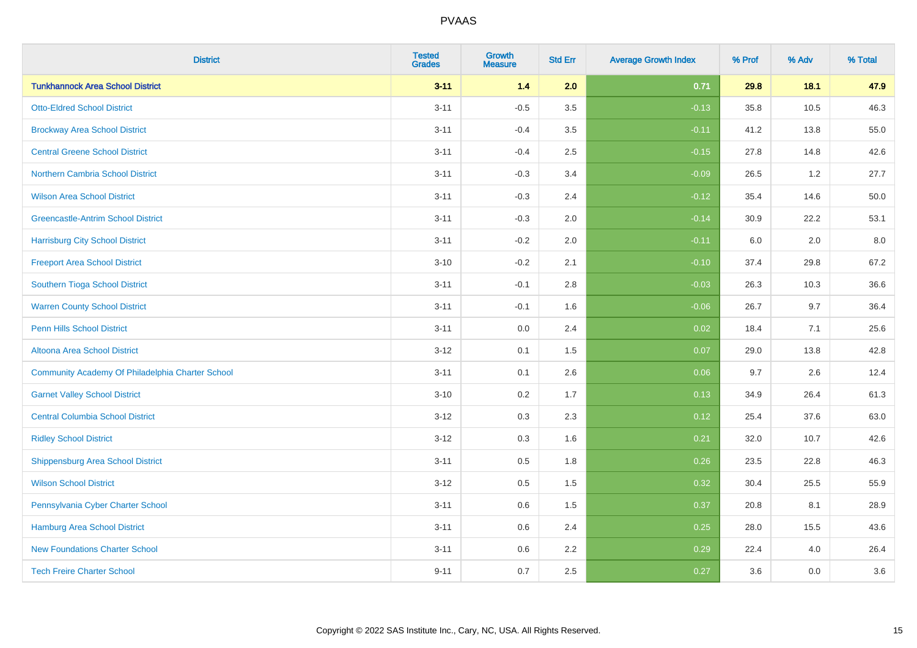| <b>District</b>                                  | <b>Tested</b><br><b>Grades</b> | <b>Growth</b><br><b>Measure</b> | <b>Std Err</b> | <b>Average Growth Index</b> | % Prof | % Adv | % Total |
|--------------------------------------------------|--------------------------------|---------------------------------|----------------|-----------------------------|--------|-------|---------|
| <b>Tunkhannock Area School District</b>          | $3 - 11$                       | 1.4                             | 2.0            | 0.71                        | 29.8   | 18.1  | 47.9    |
| <b>Otto-Eldred School District</b>               | $3 - 11$                       | $-0.5$                          | 3.5            | $-0.13$                     | 35.8   | 10.5  | 46.3    |
| <b>Brockway Area School District</b>             | $3 - 11$                       | $-0.4$                          | 3.5            | $-0.11$                     | 41.2   | 13.8  | 55.0    |
| <b>Central Greene School District</b>            | $3 - 11$                       | $-0.4$                          | 2.5            | $-0.15$                     | 27.8   | 14.8  | 42.6    |
| <b>Northern Cambria School District</b>          | $3 - 11$                       | $-0.3$                          | 3.4            | $-0.09$                     | 26.5   | 1.2   | 27.7    |
| <b>Wilson Area School District</b>               | $3 - 11$                       | $-0.3$                          | 2.4            | $-0.12$                     | 35.4   | 14.6  | 50.0    |
| <b>Greencastle-Antrim School District</b>        | $3 - 11$                       | $-0.3$                          | 2.0            | $-0.14$                     | 30.9   | 22.2  | 53.1    |
| <b>Harrisburg City School District</b>           | $3 - 11$                       | $-0.2$                          | 2.0            | $-0.11$                     | 6.0    | 2.0   | 8.0     |
| <b>Freeport Area School District</b>             | $3 - 10$                       | $-0.2$                          | 2.1            | $-0.10$                     | 37.4   | 29.8  | 67.2    |
| Southern Tioga School District                   | $3 - 11$                       | $-0.1$                          | 2.8            | $-0.03$                     | 26.3   | 10.3  | 36.6    |
| <b>Warren County School District</b>             | $3 - 11$                       | $-0.1$                          | 1.6            | $-0.06$                     | 26.7   | 9.7   | 36.4    |
| <b>Penn Hills School District</b>                | $3 - 11$                       | 0.0                             | 2.4            | 0.02                        | 18.4   | 7.1   | 25.6    |
| Altoona Area School District                     | $3 - 12$                       | 0.1                             | 1.5            | 0.07                        | 29.0   | 13.8  | 42.8    |
| Community Academy Of Philadelphia Charter School | $3 - 11$                       | 0.1                             | 2.6            | 0.06                        | 9.7    | 2.6   | 12.4    |
| <b>Garnet Valley School District</b>             | $3 - 10$                       | 0.2                             | 1.7            | 0.13                        | 34.9   | 26.4  | 61.3    |
| <b>Central Columbia School District</b>          | $3 - 12$                       | 0.3                             | 2.3            | 0.12                        | 25.4   | 37.6  | 63.0    |
| <b>Ridley School District</b>                    | $3 - 12$                       | 0.3                             | 1.6            | 0.21                        | 32.0   | 10.7  | 42.6    |
| <b>Shippensburg Area School District</b>         | $3 - 11$                       | 0.5                             | 1.8            | 0.26                        | 23.5   | 22.8  | 46.3    |
| <b>Wilson School District</b>                    | $3 - 12$                       | 0.5                             | 1.5            | 0.32                        | 30.4   | 25.5  | 55.9    |
| Pennsylvania Cyber Charter School                | $3 - 11$                       | 0.6                             | 1.5            | 0.37                        | 20.8   | 8.1   | 28.9    |
| <b>Hamburg Area School District</b>              | $3 - 11$                       | 0.6                             | 2.4            | 0.25                        | 28.0   | 15.5  | 43.6    |
| <b>New Foundations Charter School</b>            | $3 - 11$                       | 0.6                             | 2.2            | 0.29                        | 22.4   | 4.0   | 26.4    |
| <b>Tech Freire Charter School</b>                | $9 - 11$                       | 0.7                             | 2.5            | 0.27                        | 3.6    | 0.0   | 3.6     |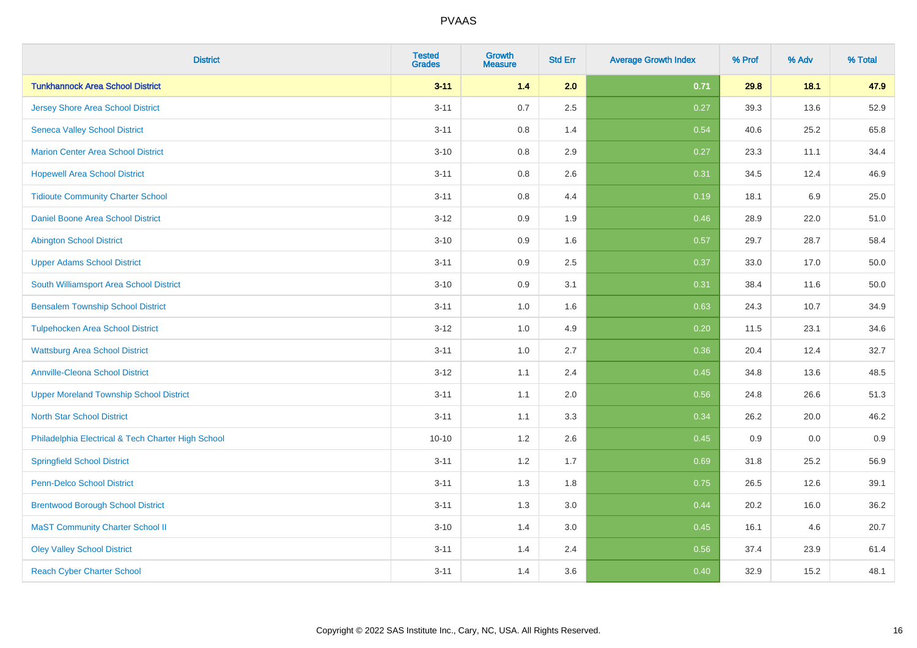| <b>District</b>                                    | <b>Tested</b><br><b>Grades</b> | Growth<br><b>Measure</b> | <b>Std Err</b> | <b>Average Growth Index</b> | % Prof | % Adv   | % Total |
|----------------------------------------------------|--------------------------------|--------------------------|----------------|-----------------------------|--------|---------|---------|
| <b>Tunkhannock Area School District</b>            | $3 - 11$                       | 1.4                      | 2.0            | 0.71                        | 29.8   | 18.1    | 47.9    |
| Jersey Shore Area School District                  | $3 - 11$                       | 0.7                      | 2.5            | 0.27                        | 39.3   | 13.6    | 52.9    |
| <b>Seneca Valley School District</b>               | $3 - 11$                       | 0.8                      | 1.4            | 0.54                        | 40.6   | 25.2    | 65.8    |
| <b>Marion Center Area School District</b>          | $3 - 10$                       | 0.8                      | 2.9            | 0.27                        | 23.3   | 11.1    | 34.4    |
| <b>Hopewell Area School District</b>               | $3 - 11$                       | 0.8                      | 2.6            | 0.31                        | 34.5   | 12.4    | 46.9    |
| <b>Tidioute Community Charter School</b>           | $3 - 11$                       | $0.8\,$                  | 4.4            | 0.19                        | 18.1   | $6.9\,$ | 25.0    |
| <b>Daniel Boone Area School District</b>           | $3 - 12$                       | 0.9                      | 1.9            | 0.46                        | 28.9   | 22.0    | 51.0    |
| <b>Abington School District</b>                    | $3 - 10$                       | 0.9                      | 1.6            | 0.57                        | 29.7   | 28.7    | 58.4    |
| <b>Upper Adams School District</b>                 | $3 - 11$                       | 0.9                      | 2.5            | 0.37                        | 33.0   | 17.0    | 50.0    |
| South Williamsport Area School District            | $3 - 10$                       | 0.9                      | 3.1            | 0.31                        | 38.4   | 11.6    | 50.0    |
| <b>Bensalem Township School District</b>           | $3 - 11$                       | 1.0                      | 1.6            | 0.63                        | 24.3   | 10.7    | 34.9    |
| <b>Tulpehocken Area School District</b>            | $3 - 12$                       | 1.0                      | 4.9            | 0.20                        | 11.5   | 23.1    | 34.6    |
| <b>Wattsburg Area School District</b>              | $3 - 11$                       | 1.0                      | 2.7            | 0.36                        | 20.4   | 12.4    | 32.7    |
| <b>Annville-Cleona School District</b>             | $3 - 12$                       | 1.1                      | 2.4            | 0.45                        | 34.8   | 13.6    | 48.5    |
| <b>Upper Moreland Township School District</b>     | $3 - 11$                       | 1.1                      | 2.0            | 0.56                        | 24.8   | 26.6    | 51.3    |
| <b>North Star School District</b>                  | $3 - 11$                       | 1.1                      | 3.3            | 0.34                        | 26.2   | 20.0    | 46.2    |
| Philadelphia Electrical & Tech Charter High School | $10 - 10$                      | 1.2                      | 2.6            | 0.45                        | 0.9    | 0.0     | 0.9     |
| <b>Springfield School District</b>                 | $3 - 11$                       | 1.2                      | 1.7            | 0.69                        | 31.8   | 25.2    | 56.9    |
| <b>Penn-Delco School District</b>                  | $3 - 11$                       | 1.3                      | 1.8            | 0.75                        | 26.5   | 12.6    | 39.1    |
| <b>Brentwood Borough School District</b>           | $3 - 11$                       | 1.3                      | 3.0            | 0.44                        | 20.2   | 16.0    | 36.2    |
| <b>MaST Community Charter School II</b>            | $3 - 10$                       | 1.4                      | 3.0            | 0.45                        | 16.1   | 4.6     | 20.7    |
| <b>Oley Valley School District</b>                 | $3 - 11$                       | 1.4                      | 2.4            | 0.56                        | 37.4   | 23.9    | 61.4    |
| <b>Reach Cyber Charter School</b>                  | $3 - 11$                       | 1.4                      | 3.6            | 0.40                        | 32.9   | 15.2    | 48.1    |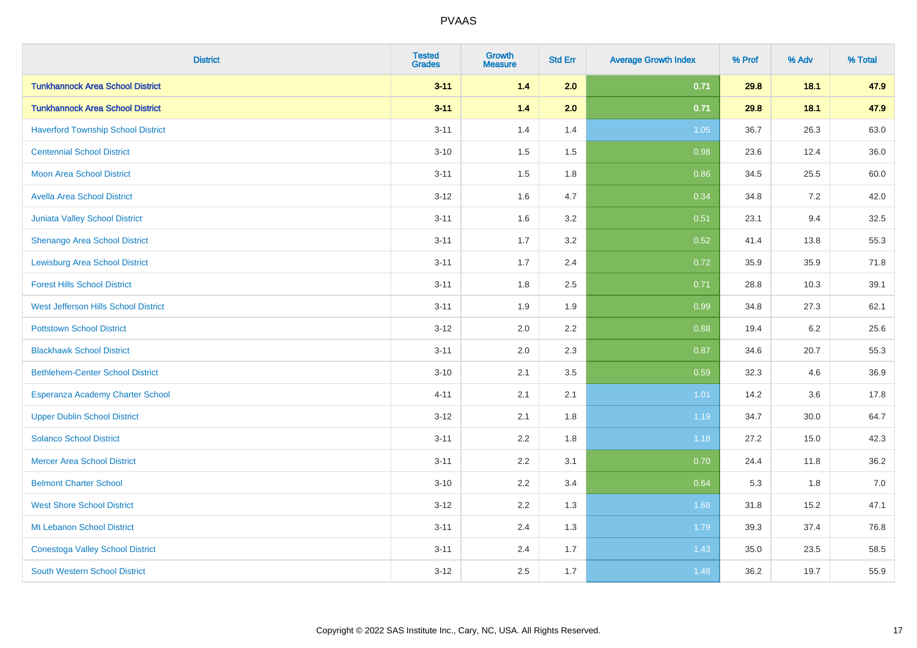| <b>District</b>                             | <b>Tested</b><br><b>Grades</b> | Growth<br><b>Measure</b> | <b>Std Err</b> | <b>Average Growth Index</b> | % Prof | % Adv   | % Total |
|---------------------------------------------|--------------------------------|--------------------------|----------------|-----------------------------|--------|---------|---------|
| <b>Tunkhannock Area School District</b>     | $3 - 11$                       | 1.4                      | 2.0            | 0.71                        | 29.8   | 18.1    | 47.9    |
| <b>Tunkhannock Area School District</b>     | $3 - 11$                       | 1.4                      | 2.0            | 0.71                        | 29.8   | 18.1    | 47.9    |
| <b>Haverford Township School District</b>   | $3 - 11$                       | 1.4                      | 1.4            | 1.05                        | 36.7   | 26.3    | 63.0    |
| <b>Centennial School District</b>           | $3 - 10$                       | 1.5                      | 1.5            | 0.98                        | 23.6   | 12.4    | 36.0    |
| <b>Moon Area School District</b>            | $3 - 11$                       | 1.5                      | 1.8            | 0.86                        | 34.5   | 25.5    | 60.0    |
| <b>Avella Area School District</b>          | $3 - 12$                       | 1.6                      | 4.7            | 0.34                        | 34.8   | $7.2\,$ | 42.0    |
| Juniata Valley School District              | $3 - 11$                       | 1.6                      | 3.2            | 0.51                        | 23.1   | 9.4     | 32.5    |
| Shenango Area School District               | $3 - 11$                       | 1.7                      | 3.2            | 0.52                        | 41.4   | 13.8    | 55.3    |
| <b>Lewisburg Area School District</b>       | $3 - 11$                       | 1.7                      | 2.4            | 0.72                        | 35.9   | 35.9    | 71.8    |
| <b>Forest Hills School District</b>         | $3 - 11$                       | 1.8                      | 2.5            | 0.71                        | 28.8   | 10.3    | 39.1    |
| <b>West Jefferson Hills School District</b> | $3 - 11$                       | 1.9                      | 1.9            | 0.99                        | 34.8   | 27.3    | 62.1    |
| <b>Pottstown School District</b>            | $3 - 12$                       | 2.0                      | 2.2            | 0.88                        | 19.4   | $6.2\,$ | 25.6    |
| <b>Blackhawk School District</b>            | $3 - 11$                       | 2.0                      | 2.3            | 0.87                        | 34.6   | 20.7    | 55.3    |
| <b>Bethlehem-Center School District</b>     | $3 - 10$                       | 2.1                      | 3.5            | 0.59                        | 32.3   | 4.6     | 36.9    |
| Esperanza Academy Charter School            | $4 - 11$                       | 2.1                      | 2.1            | 1.01                        | 14.2   | 3.6     | 17.8    |
| <b>Upper Dublin School District</b>         | $3 - 12$                       | 2.1                      | 1.8            | 1.19                        | 34.7   | 30.0    | 64.7    |
| <b>Solanco School District</b>              | $3 - 11$                       | 2.2                      | 1.8            | $1.18$                      | 27.2   | 15.0    | 42.3    |
| <b>Mercer Area School District</b>          | $3 - 11$                       | 2.2                      | 3.1            | 0.70                        | 24.4   | 11.8    | 36.2    |
| <b>Belmont Charter School</b>               | $3 - 10$                       | 2.2                      | 3.4            | 0.64                        | 5.3    | 1.8     | 7.0     |
| <b>West Shore School District</b>           | $3 - 12$                       | 2.2                      | 1.3            | 1.68                        | 31.8   | 15.2    | 47.1    |
| Mt Lebanon School District                  | $3 - 11$                       | 2.4                      | 1.3            | 1.79                        | 39.3   | 37.4    | 76.8    |
| <b>Conestoga Valley School District</b>     | $3 - 11$                       | 2.4                      | 1.7            | 1.43                        | 35.0   | 23.5    | 58.5    |
| <b>South Western School District</b>        | $3 - 12$                       | 2.5                      | 1.7            | 1.48                        | 36.2   | 19.7    | 55.9    |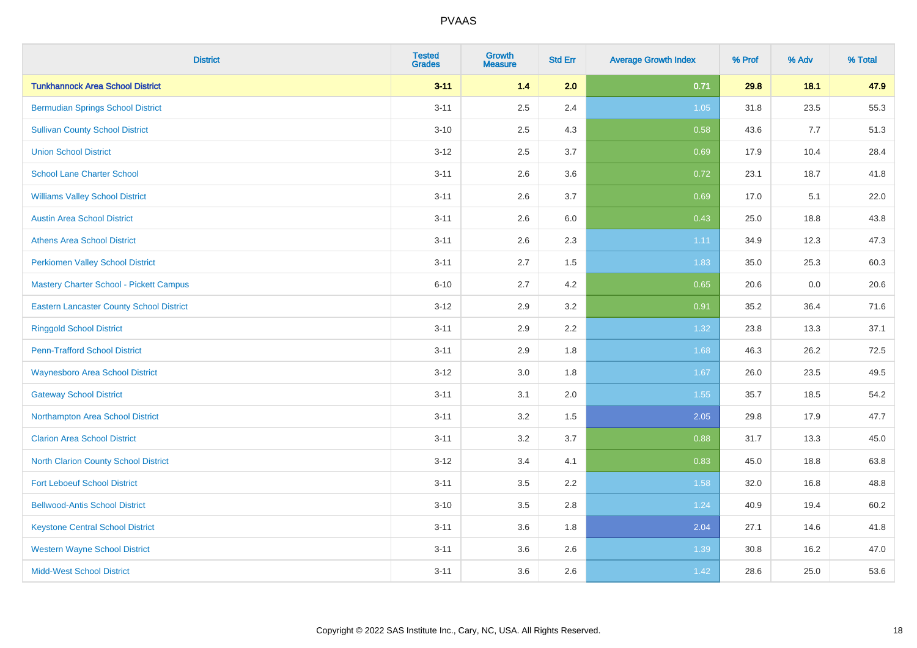| <b>District</b>                                 | <b>Tested</b><br><b>Grades</b> | <b>Growth</b><br><b>Measure</b> | <b>Std Err</b> | <b>Average Growth Index</b> | % Prof | % Adv | % Total |
|-------------------------------------------------|--------------------------------|---------------------------------|----------------|-----------------------------|--------|-------|---------|
| <b>Tunkhannock Area School District</b>         | $3 - 11$                       | 1.4                             | 2.0            | 0.71                        | 29.8   | 18.1  | 47.9    |
| <b>Bermudian Springs School District</b>        | $3 - 11$                       | 2.5                             | 2.4            | $1.05$                      | 31.8   | 23.5  | 55.3    |
| <b>Sullivan County School District</b>          | $3 - 10$                       | 2.5                             | 4.3            | 0.58                        | 43.6   | 7.7   | 51.3    |
| <b>Union School District</b>                    | $3 - 12$                       | 2.5                             | 3.7            | 0.69                        | 17.9   | 10.4  | 28.4    |
| <b>School Lane Charter School</b>               | $3 - 11$                       | 2.6                             | 3.6            | 0.72                        | 23.1   | 18.7  | 41.8    |
| <b>Williams Valley School District</b>          | $3 - 11$                       | 2.6                             | 3.7            | 0.69                        | 17.0   | 5.1   | 22.0    |
| <b>Austin Area School District</b>              | $3 - 11$                       | 2.6                             | 6.0            | 0.43                        | 25.0   | 18.8  | 43.8    |
| <b>Athens Area School District</b>              | $3 - 11$                       | 2.6                             | 2.3            | 1.11                        | 34.9   | 12.3  | 47.3    |
| <b>Perkiomen Valley School District</b>         | $3 - 11$                       | 2.7                             | 1.5            | 1.83                        | 35.0   | 25.3  | 60.3    |
| Mastery Charter School - Pickett Campus         | $6 - 10$                       | 2.7                             | 4.2            | 0.65                        | 20.6   | 0.0   | 20.6    |
| <b>Eastern Lancaster County School District</b> | $3 - 12$                       | 2.9                             | 3.2            | 0.91                        | 35.2   | 36.4  | 71.6    |
| <b>Ringgold School District</b>                 | $3 - 11$                       | 2.9                             | 2.2            | 1.32                        | 23.8   | 13.3  | 37.1    |
| <b>Penn-Trafford School District</b>            | $3 - 11$                       | 2.9                             | 1.8            | 1.68                        | 46.3   | 26.2  | 72.5    |
| <b>Waynesboro Area School District</b>          | $3 - 12$                       | 3.0                             | 1.8            | 1.67                        | 26.0   | 23.5  | 49.5    |
| <b>Gateway School District</b>                  | $3 - 11$                       | 3.1                             | 2.0            | 1.55                        | 35.7   | 18.5  | 54.2    |
| Northampton Area School District                | $3 - 11$                       | 3.2                             | 1.5            | 2.05                        | 29.8   | 17.9  | 47.7    |
| <b>Clarion Area School District</b>             | $3 - 11$                       | 3.2                             | 3.7            | 0.88                        | 31.7   | 13.3  | 45.0    |
| North Clarion County School District            | $3 - 12$                       | 3.4                             | 4.1            | 0.83                        | 45.0   | 18.8  | 63.8    |
| <b>Fort Leboeuf School District</b>             | $3 - 11$                       | 3.5                             | 2.2            | 1.58                        | 32.0   | 16.8  | 48.8    |
| <b>Bellwood-Antis School District</b>           | $3 - 10$                       | 3.5                             | 2.8            | 1.24                        | 40.9   | 19.4  | 60.2    |
| <b>Keystone Central School District</b>         | $3 - 11$                       | 3.6                             | 1.8            | 2.04                        | 27.1   | 14.6  | 41.8    |
| <b>Western Wayne School District</b>            | $3 - 11$                       | 3.6                             | 2.6            | 1.39                        | 30.8   | 16.2  | 47.0    |
| <b>Midd-West School District</b>                | $3 - 11$                       | 3.6                             | 2.6            | 1.42                        | 28.6   | 25.0  | 53.6    |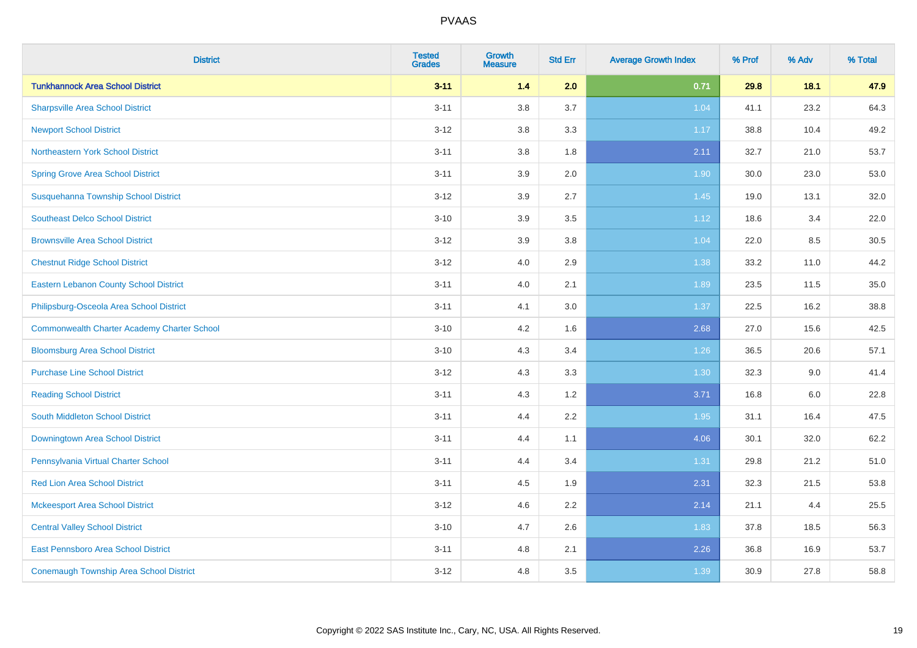| <b>District</b>                                    | <b>Tested</b><br><b>Grades</b> | <b>Growth</b><br><b>Measure</b> | <b>Std Err</b> | <b>Average Growth Index</b> | % Prof | % Adv | % Total |
|----------------------------------------------------|--------------------------------|---------------------------------|----------------|-----------------------------|--------|-------|---------|
| <b>Tunkhannock Area School District</b>            | $3 - 11$                       | $1.4$                           | 2.0            | 0.71                        | 29.8   | 18.1  | 47.9    |
| <b>Sharpsville Area School District</b>            | $3 - 11$                       | 3.8                             | 3.7            | 1.04                        | 41.1   | 23.2  | 64.3    |
| <b>Newport School District</b>                     | $3 - 12$                       | 3.8                             | 3.3            | 1.17                        | 38.8   | 10.4  | 49.2    |
| Northeastern York School District                  | $3 - 11$                       | 3.8                             | 1.8            | 2.11                        | 32.7   | 21.0  | 53.7    |
| <b>Spring Grove Area School District</b>           | $3 - 11$                       | 3.9                             | 2.0            | 1.90                        | 30.0   | 23.0  | 53.0    |
| Susquehanna Township School District               | $3 - 12$                       | 3.9                             | 2.7            | 1.45                        | 19.0   | 13.1  | 32.0    |
| <b>Southeast Delco School District</b>             | $3 - 10$                       | 3.9                             | 3.5            | 1.12                        | 18.6   | 3.4   | 22.0    |
| <b>Brownsville Area School District</b>            | $3 - 12$                       | 3.9                             | 3.8            | 1.04                        | 22.0   | 8.5   | 30.5    |
| <b>Chestnut Ridge School District</b>              | $3 - 12$                       | 4.0                             | 2.9            | 1.38                        | 33.2   | 11.0  | 44.2    |
| <b>Eastern Lebanon County School District</b>      | $3 - 11$                       | 4.0                             | 2.1            | 1.89                        | 23.5   | 11.5  | 35.0    |
| Philipsburg-Osceola Area School District           | $3 - 11$                       | 4.1                             | 3.0            | 1.37                        | 22.5   | 16.2  | 38.8    |
| <b>Commonwealth Charter Academy Charter School</b> | $3 - 10$                       | 4.2                             | 1.6            | 2.68                        | 27.0   | 15.6  | 42.5    |
| <b>Bloomsburg Area School District</b>             | $3 - 10$                       | 4.3                             | 3.4            | 1.26                        | 36.5   | 20.6  | 57.1    |
| <b>Purchase Line School District</b>               | $3 - 12$                       | 4.3                             | 3.3            | 1.30                        | 32.3   | 9.0   | 41.4    |
| <b>Reading School District</b>                     | $3 - 11$                       | 4.3                             | 1.2            | 3.71                        | 16.8   | 6.0   | 22.8    |
| South Middleton School District                    | $3 - 11$                       | 4.4                             | 2.2            | 1.95                        | 31.1   | 16.4  | 47.5    |
| <b>Downingtown Area School District</b>            | $3 - 11$                       | 4.4                             | 1.1            | 4.06                        | 30.1   | 32.0  | 62.2    |
| Pennsylvania Virtual Charter School                | $3 - 11$                       | 4.4                             | 3.4            | 1.31                        | 29.8   | 21.2  | 51.0    |
| <b>Red Lion Area School District</b>               | $3 - 11$                       | 4.5                             | 1.9            | 2.31                        | 32.3   | 21.5  | 53.8    |
| <b>Mckeesport Area School District</b>             | $3 - 12$                       | 4.6                             | 2.2            | 2.14                        | 21.1   | 4.4   | 25.5    |
| <b>Central Valley School District</b>              | $3 - 10$                       | 4.7                             | 2.6            | 1.83                        | 37.8   | 18.5  | 56.3    |
| <b>East Pennsboro Area School District</b>         | $3 - 11$                       | 4.8                             | 2.1            | 2.26                        | 36.8   | 16.9  | 53.7    |
| <b>Conemaugh Township Area School District</b>     | $3 - 12$                       | 4.8                             | 3.5            | 1.39                        | 30.9   | 27.8  | 58.8    |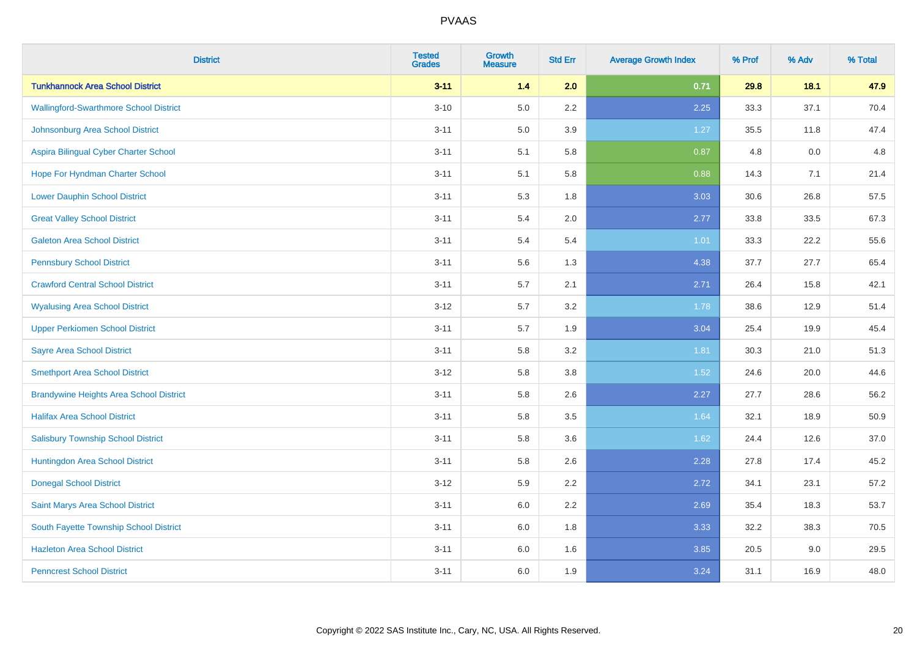| <b>District</b>                                | <b>Tested</b><br><b>Grades</b> | Growth<br><b>Measure</b> | <b>Std Err</b> | <b>Average Growth Index</b> | % Prof | % Adv | % Total |
|------------------------------------------------|--------------------------------|--------------------------|----------------|-----------------------------|--------|-------|---------|
| <b>Tunkhannock Area School District</b>        | $3 - 11$                       | 1.4                      | 2.0            | 0.71                        | 29.8   | 18.1  | 47.9    |
| <b>Wallingford-Swarthmore School District</b>  | $3 - 10$                       | $5.0\,$                  | 2.2            | 2.25                        | 33.3   | 37.1  | 70.4    |
| Johnsonburg Area School District               | $3 - 11$                       | 5.0                      | 3.9            | 1.27                        | 35.5   | 11.8  | 47.4    |
| Aspira Bilingual Cyber Charter School          | $3 - 11$                       | 5.1                      | 5.8            | 0.87                        | 4.8    | 0.0   | 4.8     |
| Hope For Hyndman Charter School                | $3 - 11$                       | 5.1                      | 5.8            | 0.88                        | 14.3   | 7.1   | 21.4    |
| <b>Lower Dauphin School District</b>           | $3 - 11$                       | 5.3                      | 1.8            | 3.03                        | 30.6   | 26.8  | 57.5    |
| <b>Great Valley School District</b>            | $3 - 11$                       | 5.4                      | 2.0            | 2.77                        | 33.8   | 33.5  | 67.3    |
| <b>Galeton Area School District</b>            | $3 - 11$                       | 5.4                      | 5.4            | 1.01                        | 33.3   | 22.2  | 55.6    |
| <b>Pennsbury School District</b>               | $3 - 11$                       | 5.6                      | 1.3            | 4.38                        | 37.7   | 27.7  | 65.4    |
| <b>Crawford Central School District</b>        | $3 - 11$                       | 5.7                      | 2.1            | 2.71                        | 26.4   | 15.8  | 42.1    |
| <b>Wyalusing Area School District</b>          | $3 - 12$                       | 5.7                      | 3.2            | 1.78                        | 38.6   | 12.9  | 51.4    |
| <b>Upper Perkiomen School District</b>         | $3 - 11$                       | 5.7                      | 1.9            | 3.04                        | 25.4   | 19.9  | 45.4    |
| <b>Sayre Area School District</b>              | $3 - 11$                       | 5.8                      | 3.2            | 1.81                        | 30.3   | 21.0  | 51.3    |
| <b>Smethport Area School District</b>          | $3 - 12$                       | 5.8                      | 3.8            | 1.52                        | 24.6   | 20.0  | 44.6    |
| <b>Brandywine Heights Area School District</b> | $3 - 11$                       | 5.8                      | 2.6            | 2.27                        | 27.7   | 28.6  | 56.2    |
| <b>Halifax Area School District</b>            | $3 - 11$                       | 5.8                      | 3.5            | 1.64                        | 32.1   | 18.9  | 50.9    |
| <b>Salisbury Township School District</b>      | $3 - 11$                       | 5.8                      | 3.6            | 1.62                        | 24.4   | 12.6  | 37.0    |
| Huntingdon Area School District                | $3 - 11$                       | 5.8                      | 2.6            | 2.28                        | 27.8   | 17.4  | 45.2    |
| <b>Donegal School District</b>                 | $3 - 12$                       | 5.9                      | 2.2            | 2.72                        | 34.1   | 23.1  | 57.2    |
| Saint Marys Area School District               | $3 - 11$                       | 6.0                      | 2.2            | 2.69                        | 35.4   | 18.3  | 53.7    |
| South Fayette Township School District         | $3 - 11$                       | 6.0                      | 1.8            | 3.33                        | 32.2   | 38.3  | 70.5    |
| <b>Hazleton Area School District</b>           | $3 - 11$                       | 6.0                      | 1.6            | 3.85                        | 20.5   | 9.0   | 29.5    |
| <b>Penncrest School District</b>               | $3 - 11$                       | 6.0                      | 1.9            | 3.24                        | 31.1   | 16.9  | 48.0    |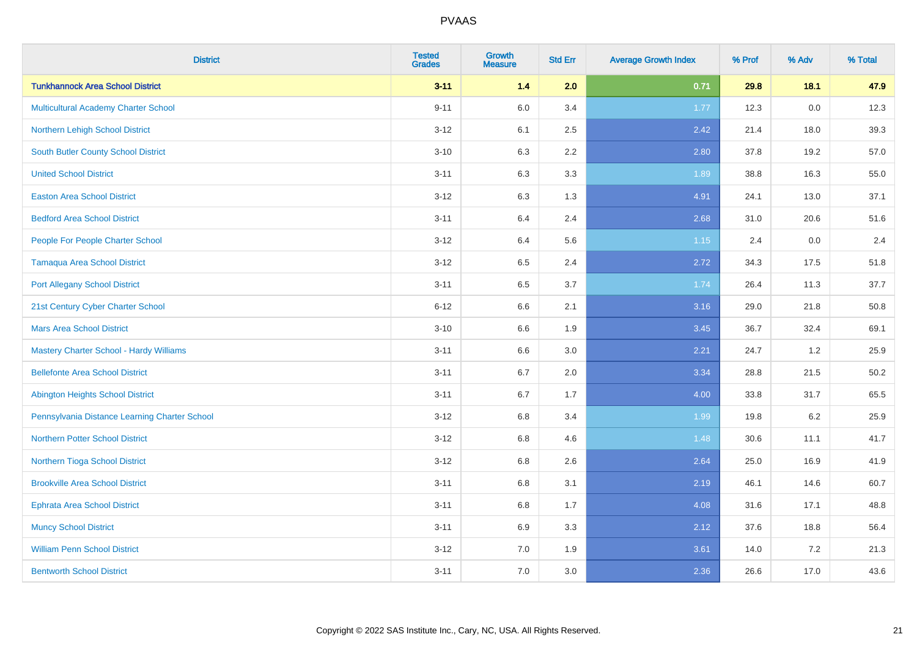| <b>District</b>                                | <b>Tested</b><br><b>Grades</b> | <b>Growth</b><br><b>Measure</b> | <b>Std Err</b> | <b>Average Growth Index</b> | % Prof | % Adv   | % Total |
|------------------------------------------------|--------------------------------|---------------------------------|----------------|-----------------------------|--------|---------|---------|
| <b>Tunkhannock Area School District</b>        | $3 - 11$                       | 1.4                             | 2.0            | 0.71                        | 29.8   | 18.1    | 47.9    |
| Multicultural Academy Charter School           | $9 - 11$                       | 6.0                             | 3.4            | 1.77                        | 12.3   | $0.0\,$ | 12.3    |
| Northern Lehigh School District                | $3 - 12$                       | 6.1                             | 2.5            | 2.42                        | 21.4   | 18.0    | 39.3    |
| South Butler County School District            | $3 - 10$                       | 6.3                             | 2.2            | 2.80                        | 37.8   | 19.2    | 57.0    |
| <b>United School District</b>                  | $3 - 11$                       | 6.3                             | 3.3            | 1.89                        | 38.8   | 16.3    | 55.0    |
| <b>Easton Area School District</b>             | $3 - 12$                       | 6.3                             | 1.3            | 4.91                        | 24.1   | 13.0    | 37.1    |
| <b>Bedford Area School District</b>            | $3 - 11$                       | 6.4                             | 2.4            | 2.68                        | 31.0   | 20.6    | 51.6    |
| People For People Charter School               | $3 - 12$                       | 6.4                             | 5.6            | 1.15                        | 2.4    | 0.0     | 2.4     |
| <b>Tamaqua Area School District</b>            | $3 - 12$                       | 6.5                             | 2.4            | 2.72                        | 34.3   | 17.5    | 51.8    |
| <b>Port Allegany School District</b>           | $3 - 11$                       | 6.5                             | 3.7            | 1.74                        | 26.4   | 11.3    | 37.7    |
| 21st Century Cyber Charter School              | $6 - 12$                       | 6.6                             | 2.1            | 3.16                        | 29.0   | 21.8    | 50.8    |
| <b>Mars Area School District</b>               | $3 - 10$                       | 6.6                             | 1.9            | 3.45                        | 36.7   | 32.4    | 69.1    |
| <b>Mastery Charter School - Hardy Williams</b> | $3 - 11$                       | 6.6                             | 3.0            | 2.21                        | 24.7   | 1.2     | 25.9    |
| <b>Bellefonte Area School District</b>         | $3 - 11$                       | 6.7                             | 2.0            | 3.34                        | 28.8   | 21.5    | 50.2    |
| <b>Abington Heights School District</b>        | $3 - 11$                       | 6.7                             | 1.7            | 4.00                        | 33.8   | 31.7    | 65.5    |
| Pennsylvania Distance Learning Charter School  | $3 - 12$                       | 6.8                             | 3.4            | 1.99                        | 19.8   | $6.2\,$ | 25.9    |
| <b>Northern Potter School District</b>         | $3 - 12$                       | 6.8                             | 4.6            | 1.48                        | 30.6   | 11.1    | 41.7    |
| Northern Tioga School District                 | $3 - 12$                       | 6.8                             | 2.6            | 2.64                        | 25.0   | 16.9    | 41.9    |
| <b>Brookville Area School District</b>         | $3 - 11$                       | 6.8                             | 3.1            | 2.19                        | 46.1   | 14.6    | 60.7    |
| Ephrata Area School District                   | $3 - 11$                       | 6.8                             | 1.7            | 4.08                        | 31.6   | 17.1    | 48.8    |
| <b>Muncy School District</b>                   | $3 - 11$                       | 6.9                             | 3.3            | 2.12                        | 37.6   | 18.8    | 56.4    |
| <b>William Penn School District</b>            | $3 - 12$                       | 7.0                             | 1.9            | 3.61                        | 14.0   | 7.2     | 21.3    |
| <b>Bentworth School District</b>               | $3 - 11$                       | 7.0                             | 3.0            | 2.36                        | 26.6   | 17.0    | 43.6    |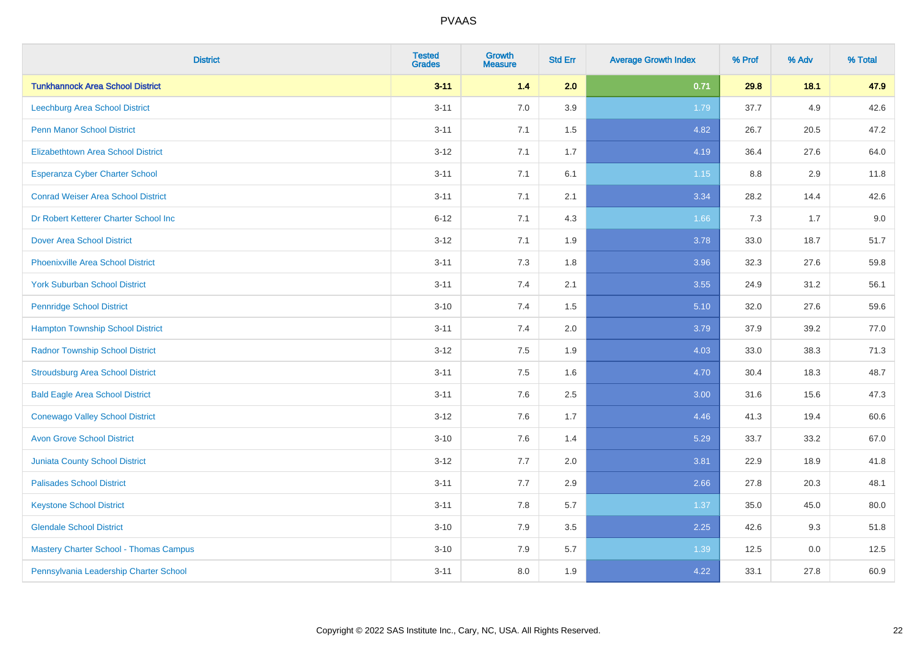| <b>District</b>                               | <b>Tested</b><br><b>Grades</b> | <b>Growth</b><br><b>Measure</b> | <b>Std Err</b> | <b>Average Growth Index</b> | % Prof | % Adv | % Total |
|-----------------------------------------------|--------------------------------|---------------------------------|----------------|-----------------------------|--------|-------|---------|
| <b>Tunkhannock Area School District</b>       | $3 - 11$                       | 1.4                             | 2.0            | 0.71                        | 29.8   | 18.1  | 47.9    |
| Leechburg Area School District                | $3 - 11$                       | 7.0                             | 3.9            | 1.79                        | 37.7   | 4.9   | 42.6    |
| <b>Penn Manor School District</b>             | $3 - 11$                       | 7.1                             | 1.5            | 4.82                        | 26.7   | 20.5  | 47.2    |
| <b>Elizabethtown Area School District</b>     | $3 - 12$                       | 7.1                             | 1.7            | 4.19                        | 36.4   | 27.6  | 64.0    |
| <b>Esperanza Cyber Charter School</b>         | $3 - 11$                       | 7.1                             | 6.1            | 1.15                        | 8.8    | 2.9   | 11.8    |
| <b>Conrad Weiser Area School District</b>     | $3 - 11$                       | 7.1                             | 2.1            | 3.34                        | 28.2   | 14.4  | 42.6    |
| Dr Robert Ketterer Charter School Inc         | $6 - 12$                       | 7.1                             | 4.3            | 1.66                        | 7.3    | 1.7   | 9.0     |
| <b>Dover Area School District</b>             | $3 - 12$                       | 7.1                             | 1.9            | 3.78                        | 33.0   | 18.7  | 51.7    |
| <b>Phoenixville Area School District</b>      | $3 - 11$                       | 7.3                             | 1.8            | 3.96                        | 32.3   | 27.6  | 59.8    |
| <b>York Suburban School District</b>          | $3 - 11$                       | 7.4                             | 2.1            | 3.55                        | 24.9   | 31.2  | 56.1    |
| <b>Pennridge School District</b>              | $3 - 10$                       | 7.4                             | 1.5            | 5.10                        | 32.0   | 27.6  | 59.6    |
| <b>Hampton Township School District</b>       | $3 - 11$                       | 7.4                             | 2.0            | 3.79                        | 37.9   | 39.2  | 77.0    |
| <b>Radnor Township School District</b>        | $3 - 12$                       | $7.5\,$                         | 1.9            | 4.03                        | 33.0   | 38.3  | 71.3    |
| <b>Stroudsburg Area School District</b>       | $3 - 11$                       | 7.5                             | 1.6            | 4.70                        | 30.4   | 18.3  | 48.7    |
| <b>Bald Eagle Area School District</b>        | $3 - 11$                       | 7.6                             | 2.5            | 3.00                        | 31.6   | 15.6  | 47.3    |
| <b>Conewago Valley School District</b>        | $3-12$                         | 7.6                             | 1.7            | 4.46                        | 41.3   | 19.4  | 60.6    |
| <b>Avon Grove School District</b>             | $3 - 10$                       | 7.6                             | 1.4            | 5.29                        | 33.7   | 33.2  | 67.0    |
| <b>Juniata County School District</b>         | $3 - 12$                       | 7.7                             | 2.0            | 3.81                        | 22.9   | 18.9  | 41.8    |
| <b>Palisades School District</b>              | $3 - 11$                       | 7.7                             | 2.9            | 2.66                        | 27.8   | 20.3  | 48.1    |
| <b>Keystone School District</b>               | $3 - 11$                       | 7.8                             | 5.7            | 1.37                        | 35.0   | 45.0  | 80.0    |
| <b>Glendale School District</b>               | $3 - 10$                       | 7.9                             | 3.5            | 2.25                        | 42.6   | 9.3   | 51.8    |
| <b>Mastery Charter School - Thomas Campus</b> | $3 - 10$                       | 7.9                             | 5.7            | 1.39                        | 12.5   | 0.0   | 12.5    |
| Pennsylvania Leadership Charter School        | $3 - 11$                       | 8.0                             | 1.9            | 4.22                        | 33.1   | 27.8  | 60.9    |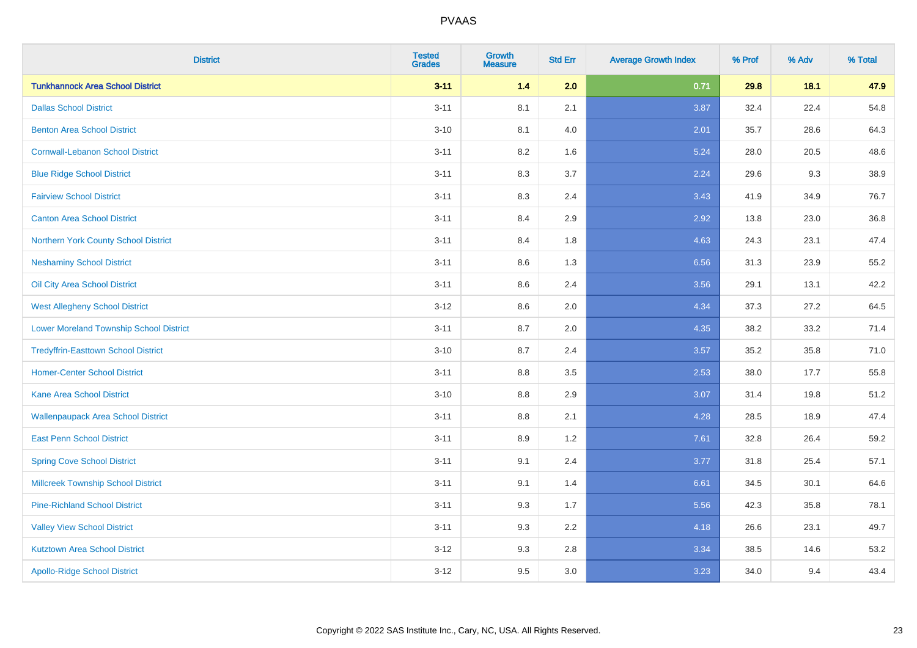| <b>District</b>                                | <b>Tested</b><br><b>Grades</b> | <b>Growth</b><br><b>Measure</b> | <b>Std Err</b> | <b>Average Growth Index</b> | % Prof | % Adv | % Total |
|------------------------------------------------|--------------------------------|---------------------------------|----------------|-----------------------------|--------|-------|---------|
| <b>Tunkhannock Area School District</b>        | $3 - 11$                       | 1.4                             | 2.0            | 0.71                        | 29.8   | 18.1  | 47.9    |
| <b>Dallas School District</b>                  | $3 - 11$                       | 8.1                             | 2.1            | 3.87                        | 32.4   | 22.4  | 54.8    |
| <b>Benton Area School District</b>             | $3 - 10$                       | 8.1                             | 4.0            | 2.01                        | 35.7   | 28.6  | 64.3    |
| <b>Cornwall-Lebanon School District</b>        | $3 - 11$                       | 8.2                             | 1.6            | 5.24                        | 28.0   | 20.5  | 48.6    |
| <b>Blue Ridge School District</b>              | $3 - 11$                       | 8.3                             | 3.7            | 2.24                        | 29.6   | 9.3   | 38.9    |
| <b>Fairview School District</b>                | $3 - 11$                       | 8.3                             | 2.4            | 3.43                        | 41.9   | 34.9  | 76.7    |
| <b>Canton Area School District</b>             | $3 - 11$                       | 8.4                             | 2.9            | 2.92                        | 13.8   | 23.0  | 36.8    |
| Northern York County School District           | $3 - 11$                       | 8.4                             | 1.8            | 4.63                        | 24.3   | 23.1  | 47.4    |
| <b>Neshaminy School District</b>               | $3 - 11$                       | 8.6                             | 1.3            | 6.56                        | 31.3   | 23.9  | 55.2    |
| Oil City Area School District                  | $3 - 11$                       | 8.6                             | 2.4            | 3.56                        | 29.1   | 13.1  | 42.2    |
| <b>West Allegheny School District</b>          | $3 - 12$                       | 8.6                             | 2.0            | 4.34                        | 37.3   | 27.2  | 64.5    |
| <b>Lower Moreland Township School District</b> | $3 - 11$                       | 8.7                             | 2.0            | 4.35                        | 38.2   | 33.2  | 71.4    |
| <b>Tredyffrin-Easttown School District</b>     | $3 - 10$                       | 8.7                             | 2.4            | 3.57                        | 35.2   | 35.8  | 71.0    |
| <b>Homer-Center School District</b>            | $3 - 11$                       | 8.8                             | 3.5            | 2.53                        | 38.0   | 17.7  | 55.8    |
| Kane Area School District                      | $3 - 10$                       | 8.8                             | 2.9            | 3.07                        | 31.4   | 19.8  | 51.2    |
| <b>Wallenpaupack Area School District</b>      | $3 - 11$                       | 8.8                             | 2.1            | 4.28                        | 28.5   | 18.9  | 47.4    |
| <b>East Penn School District</b>               | $3 - 11$                       | 8.9                             | 1.2            | 7.61                        | 32.8   | 26.4  | 59.2    |
| <b>Spring Cove School District</b>             | $3 - 11$                       | 9.1                             | 2.4            | 3.77                        | 31.8   | 25.4  | 57.1    |
| <b>Millcreek Township School District</b>      | $3 - 11$                       | 9.1                             | 1.4            | 6.61                        | 34.5   | 30.1  | 64.6    |
| <b>Pine-Richland School District</b>           | $3 - 11$                       | 9.3                             | 1.7            | 5.56                        | 42.3   | 35.8  | 78.1    |
| <b>Valley View School District</b>             | $3 - 11$                       | 9.3                             | 2.2            | 4.18                        | 26.6   | 23.1  | 49.7    |
| <b>Kutztown Area School District</b>           | $3 - 12$                       | 9.3                             | 2.8            | 3.34                        | 38.5   | 14.6  | 53.2    |
| <b>Apollo-Ridge School District</b>            | $3 - 12$                       | 9.5                             | 3.0            | 3.23                        | 34.0   | 9.4   | 43.4    |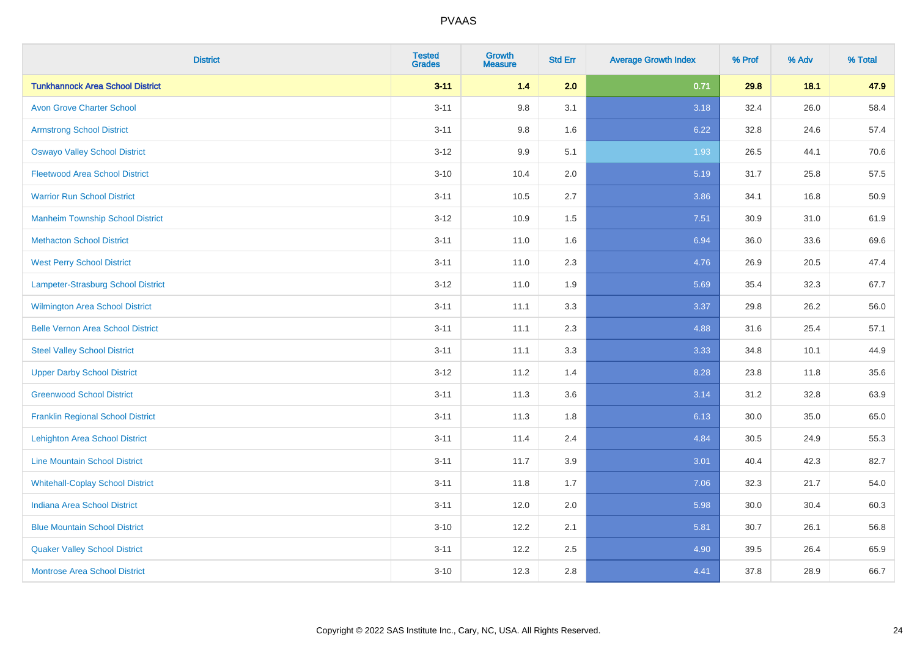| <b>District</b>                          | <b>Tested</b><br><b>Grades</b> | <b>Growth</b><br><b>Measure</b> | <b>Std Err</b> | <b>Average Growth Index</b> | % Prof | % Adv | % Total |
|------------------------------------------|--------------------------------|---------------------------------|----------------|-----------------------------|--------|-------|---------|
| <b>Tunkhannock Area School District</b>  | $3 - 11$                       | 1.4                             | 2.0            | 0.71                        | 29.8   | 18.1  | 47.9    |
| <b>Avon Grove Charter School</b>         | $3 - 11$                       | 9.8                             | 3.1            | 3.18                        | 32.4   | 26.0  | 58.4    |
| <b>Armstrong School District</b>         | $3 - 11$                       | 9.8                             | 1.6            | 6.22                        | 32.8   | 24.6  | 57.4    |
| <b>Oswayo Valley School District</b>     | $3 - 12$                       | 9.9                             | 5.1            | 1.93                        | 26.5   | 44.1  | 70.6    |
| <b>Fleetwood Area School District</b>    | $3 - 10$                       | 10.4                            | 2.0            | 5.19                        | 31.7   | 25.8  | 57.5    |
| <b>Warrior Run School District</b>       | $3 - 11$                       | 10.5                            | 2.7            | 3.86                        | 34.1   | 16.8  | 50.9    |
| <b>Manheim Township School District</b>  | $3-12$                         | 10.9                            | 1.5            | 7.51                        | 30.9   | 31.0  | 61.9    |
| <b>Methacton School District</b>         | $3 - 11$                       | 11.0                            | 1.6            | 6.94                        | 36.0   | 33.6  | 69.6    |
| <b>West Perry School District</b>        | $3 - 11$                       | 11.0                            | 2.3            | 4.76                        | 26.9   | 20.5  | 47.4    |
| Lampeter-Strasburg School District       | $3 - 12$                       | 11.0                            | 1.9            | 5.69                        | 35.4   | 32.3  | 67.7    |
| <b>Wilmington Area School District</b>   | $3 - 11$                       | 11.1                            | 3.3            | 3.37                        | 29.8   | 26.2  | 56.0    |
| <b>Belle Vernon Area School District</b> | $3 - 11$                       | 11.1                            | 2.3            | 4.88                        | 31.6   | 25.4  | 57.1    |
| <b>Steel Valley School District</b>      | $3 - 11$                       | 11.1                            | 3.3            | 3.33                        | 34.8   | 10.1  | 44.9    |
| <b>Upper Darby School District</b>       | $3 - 12$                       | 11.2                            | 1.4            | 8.28                        | 23.8   | 11.8  | 35.6    |
| <b>Greenwood School District</b>         | $3 - 11$                       | 11.3                            | 3.6            | 3.14                        | 31.2   | 32.8  | 63.9    |
| <b>Franklin Regional School District</b> | $3 - 11$                       | 11.3                            | 1.8            | 6.13                        | 30.0   | 35.0  | 65.0    |
| <b>Lehighton Area School District</b>    | $3 - 11$                       | 11.4                            | 2.4            | 4.84                        | 30.5   | 24.9  | 55.3    |
| <b>Line Mountain School District</b>     | $3 - 11$                       | 11.7                            | 3.9            | 3.01                        | 40.4   | 42.3  | 82.7    |
| <b>Whitehall-Coplay School District</b>  | $3 - 11$                       | 11.8                            | 1.7            | 7.06                        | 32.3   | 21.7  | 54.0    |
| <b>Indiana Area School District</b>      | $3 - 11$                       | 12.0                            | 2.0            | 5.98                        | 30.0   | 30.4  | 60.3    |
| <b>Blue Mountain School District</b>     | $3 - 10$                       | 12.2                            | 2.1            | 5.81                        | 30.7   | 26.1  | 56.8    |
| <b>Quaker Valley School District</b>     | $3 - 11$                       | 12.2                            | 2.5            | 4.90                        | 39.5   | 26.4  | 65.9    |
| <b>Montrose Area School District</b>     | $3 - 10$                       | 12.3                            | 2.8            | 4.41                        | 37.8   | 28.9  | 66.7    |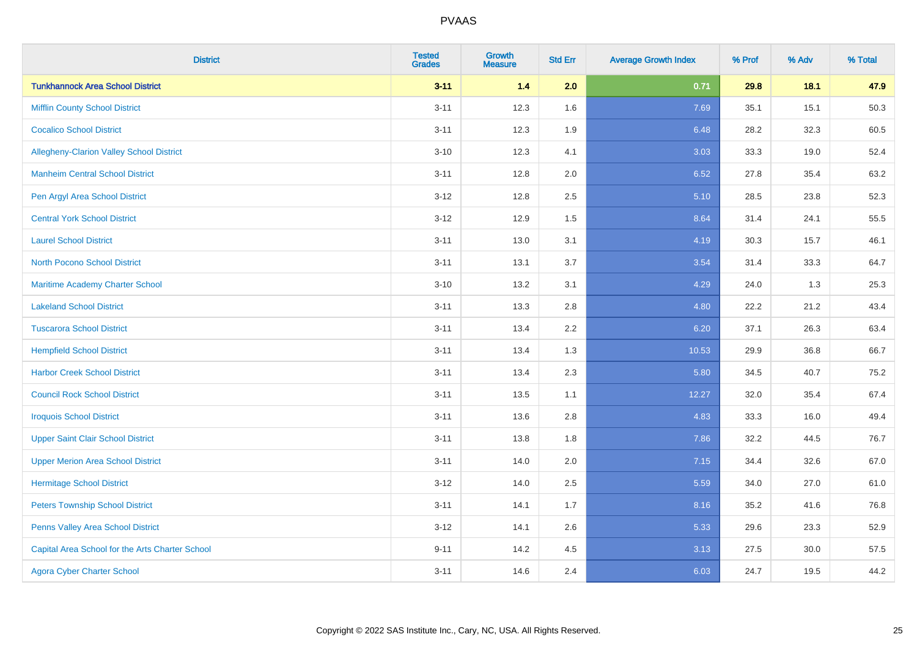| <b>District</b>                                 | <b>Tested</b><br><b>Grades</b> | <b>Growth</b><br><b>Measure</b> | <b>Std Err</b> | <b>Average Growth Index</b> | % Prof | % Adv | % Total |
|-------------------------------------------------|--------------------------------|---------------------------------|----------------|-----------------------------|--------|-------|---------|
| <b>Tunkhannock Area School District</b>         | $3 - 11$                       | 1.4                             | 2.0            | 0.71                        | 29.8   | 18.1  | 47.9    |
| <b>Mifflin County School District</b>           | $3 - 11$                       | 12.3                            | 1.6            | 7.69                        | 35.1   | 15.1  | 50.3    |
| <b>Cocalico School District</b>                 | $3 - 11$                       | 12.3                            | 1.9            | 6.48                        | 28.2   | 32.3  | 60.5    |
| Allegheny-Clarion Valley School District        | $3 - 10$                       | 12.3                            | 4.1            | 3.03                        | 33.3   | 19.0  | 52.4    |
| <b>Manheim Central School District</b>          | $3 - 11$                       | 12.8                            | 2.0            | 6.52                        | 27.8   | 35.4  | 63.2    |
| Pen Argyl Area School District                  | $3 - 12$                       | 12.8                            | 2.5            | 5.10                        | 28.5   | 23.8  | 52.3    |
| <b>Central York School District</b>             | $3 - 12$                       | 12.9                            | 1.5            | 8.64                        | 31.4   | 24.1  | 55.5    |
| <b>Laurel School District</b>                   | $3 - 11$                       | 13.0                            | 3.1            | 4.19                        | 30.3   | 15.7  | 46.1    |
| <b>North Pocono School District</b>             | $3 - 11$                       | 13.1                            | 3.7            | 3.54                        | 31.4   | 33.3  | 64.7    |
| <b>Maritime Academy Charter School</b>          | $3 - 10$                       | 13.2                            | 3.1            | 4.29                        | 24.0   | 1.3   | 25.3    |
| <b>Lakeland School District</b>                 | $3 - 11$                       | 13.3                            | 2.8            | 4.80                        | 22.2   | 21.2  | 43.4    |
| <b>Tuscarora School District</b>                | $3 - 11$                       | 13.4                            | 2.2            | 6.20                        | 37.1   | 26.3  | 63.4    |
| <b>Hempfield School District</b>                | $3 - 11$                       | 13.4                            | 1.3            | 10.53                       | 29.9   | 36.8  | 66.7    |
| <b>Harbor Creek School District</b>             | $3 - 11$                       | 13.4                            | 2.3            | 5.80                        | 34.5   | 40.7  | 75.2    |
| <b>Council Rock School District</b>             | $3 - 11$                       | 13.5                            | 1.1            | 12.27                       | 32.0   | 35.4  | 67.4    |
| <b>Iroquois School District</b>                 | $3 - 11$                       | 13.6                            | 2.8            | 4.83                        | 33.3   | 16.0  | 49.4    |
| <b>Upper Saint Clair School District</b>        | $3 - 11$                       | 13.8                            | 1.8            | 7.86                        | 32.2   | 44.5  | 76.7    |
| <b>Upper Merion Area School District</b>        | $3 - 11$                       | 14.0                            | 2.0            | 7.15                        | 34.4   | 32.6  | 67.0    |
| <b>Hermitage School District</b>                | $3-12$                         | 14.0                            | 2.5            | 5.59                        | 34.0   | 27.0  | 61.0    |
| <b>Peters Township School District</b>          | $3 - 11$                       | 14.1                            | 1.7            | 8.16                        | 35.2   | 41.6  | 76.8    |
| Penns Valley Area School District               | $3 - 12$                       | 14.1                            | 2.6            | 5.33                        | 29.6   | 23.3  | 52.9    |
| Capital Area School for the Arts Charter School | $9 - 11$                       | 14.2                            | 4.5            | 3.13                        | 27.5   | 30.0  | 57.5    |
| <b>Agora Cyber Charter School</b>               | $3 - 11$                       | 14.6                            | 2.4            | 6.03                        | 24.7   | 19.5  | 44.2    |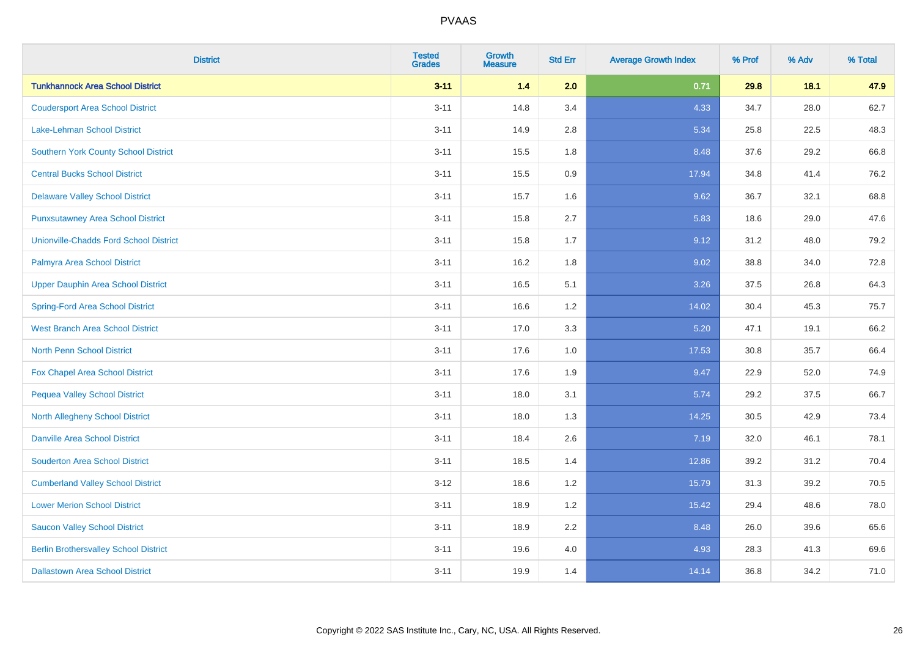| <b>District</b>                              | <b>Tested</b><br><b>Grades</b> | <b>Growth</b><br><b>Measure</b> | <b>Std Err</b> | <b>Average Growth Index</b> | % Prof | % Adv | % Total |
|----------------------------------------------|--------------------------------|---------------------------------|----------------|-----------------------------|--------|-------|---------|
| <b>Tunkhannock Area School District</b>      | $3 - 11$                       | 1.4                             | 2.0            | 0.71                        | 29.8   | 18.1  | 47.9    |
| <b>Coudersport Area School District</b>      | $3 - 11$                       | 14.8                            | 3.4            | 4.33                        | 34.7   | 28.0  | 62.7    |
| Lake-Lehman School District                  | $3 - 11$                       | 14.9                            | 2.8            | 5.34                        | 25.8   | 22.5  | 48.3    |
| <b>Southern York County School District</b>  | $3 - 11$                       | 15.5                            | 1.8            | 8.48                        | 37.6   | 29.2  | 66.8    |
| <b>Central Bucks School District</b>         | $3 - 11$                       | 15.5                            | 0.9            | 17.94                       | 34.8   | 41.4  | 76.2    |
| <b>Delaware Valley School District</b>       | $3 - 11$                       | 15.7                            | 1.6            | 9.62                        | 36.7   | 32.1  | 68.8    |
| <b>Punxsutawney Area School District</b>     | $3 - 11$                       | 15.8                            | 2.7            | 5.83                        | 18.6   | 29.0  | 47.6    |
| Unionville-Chadds Ford School District       | $3 - 11$                       | 15.8                            | 1.7            | 9.12                        | 31.2   | 48.0  | 79.2    |
| Palmyra Area School District                 | $3 - 11$                       | 16.2                            | 1.8            | 9.02                        | 38.8   | 34.0  | 72.8    |
| <b>Upper Dauphin Area School District</b>    | $3 - 11$                       | 16.5                            | 5.1            | 3.26                        | 37.5   | 26.8  | 64.3    |
| <b>Spring-Ford Area School District</b>      | $3 - 11$                       | 16.6                            | 1.2            | 14.02                       | 30.4   | 45.3  | 75.7    |
| <b>West Branch Area School District</b>      | $3 - 11$                       | 17.0                            | 3.3            | 5.20                        | 47.1   | 19.1  | 66.2    |
| North Penn School District                   | $3 - 11$                       | 17.6                            | 1.0            | 17.53                       | 30.8   | 35.7  | 66.4    |
| <b>Fox Chapel Area School District</b>       | $3 - 11$                       | 17.6                            | 1.9            | 9.47                        | 22.9   | 52.0  | 74.9    |
| <b>Pequea Valley School District</b>         | $3 - 11$                       | 18.0                            | 3.1            | 5.74                        | 29.2   | 37.5  | 66.7    |
| <b>North Allegheny School District</b>       | $3 - 11$                       | 18.0                            | 1.3            | 14.25                       | 30.5   | 42.9  | 73.4    |
| <b>Danville Area School District</b>         | $3 - 11$                       | 18.4                            | 2.6            | 7.19                        | 32.0   | 46.1  | 78.1    |
| <b>Souderton Area School District</b>        | $3 - 11$                       | 18.5                            | 1.4            | 12.86                       | 39.2   | 31.2  | 70.4    |
| <b>Cumberland Valley School District</b>     | $3 - 12$                       | 18.6                            | 1.2            | 15.79                       | 31.3   | 39.2  | 70.5    |
| <b>Lower Merion School District</b>          | $3 - 11$                       | 18.9                            | 1.2            | 15.42                       | 29.4   | 48.6  | 78.0    |
| <b>Saucon Valley School District</b>         | $3 - 11$                       | 18.9                            | 2.2            | 8.48                        | 26.0   | 39.6  | 65.6    |
| <b>Berlin Brothersvalley School District</b> | $3 - 11$                       | 19.6                            | 4.0            | 4.93                        | 28.3   | 41.3  | 69.6    |
| <b>Dallastown Area School District</b>       | $3 - 11$                       | 19.9                            | 1.4            | 14.14                       | 36.8   | 34.2  | 71.0    |